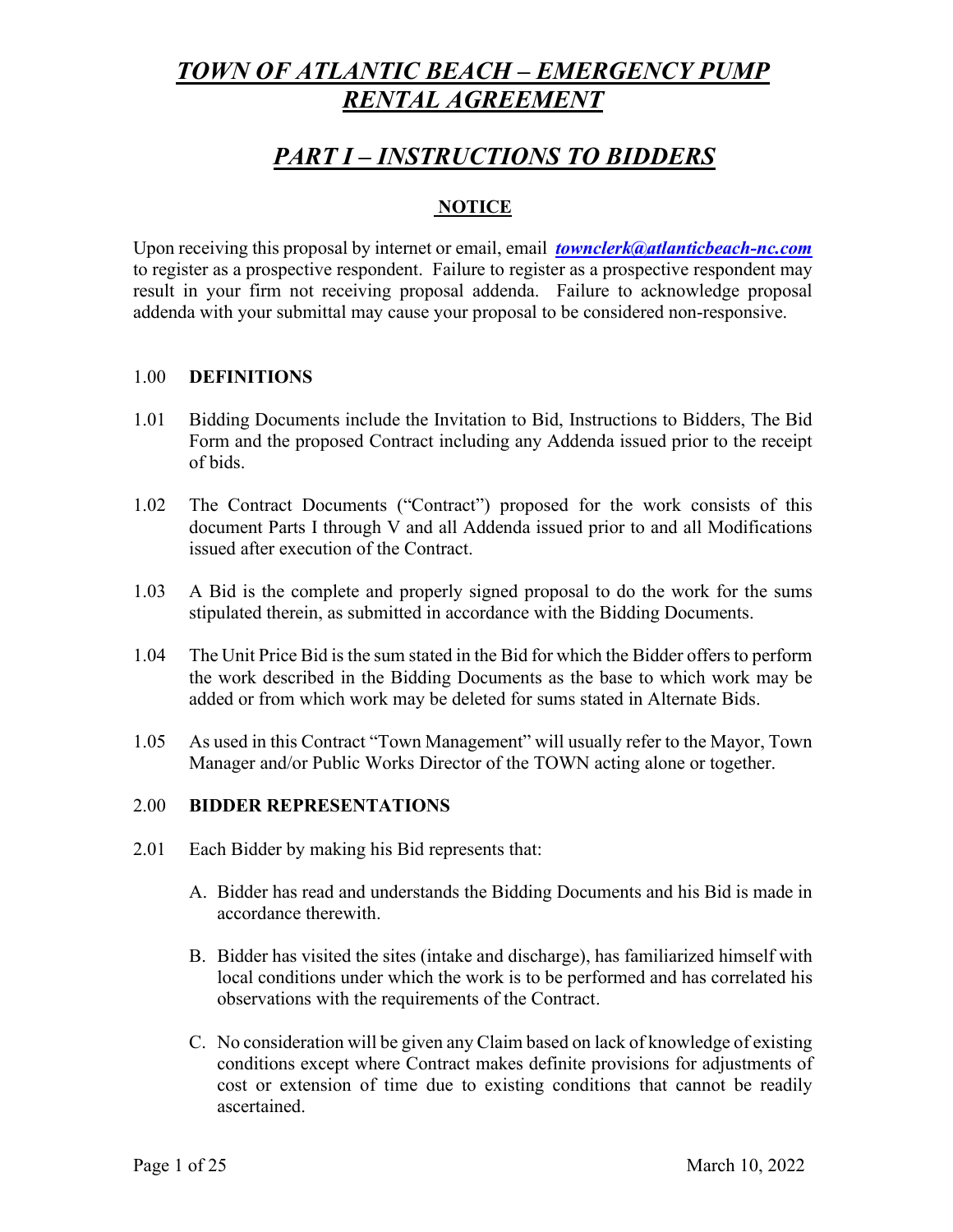### *PART I – INSTRUCTIONS TO BIDDERS*

### **NOTICE**

Upon receiving this proposal by internet or email, email *townclerk@atlanticbeach-nc.com* to register as a prospective respondent. Failure to register as a prospective respondent may result in your firm not receiving proposal addenda. Failure to acknowledge proposal addenda with your submittal may cause your proposal to be considered non-responsive.

### 1.00 **DEFINITIONS**

- 1.01 Bidding Documents include the Invitation to Bid, Instructions to Bidders, The Bid Form and the proposed Contract including any Addenda issued prior to the receipt of bids.
- 1.02 The Contract Documents ("Contract") proposed for the work consists of this document Parts I through V and all Addenda issued prior to and all Modifications issued after execution of the Contract.
- 1.03 A Bid is the complete and properly signed proposal to do the work for the sums stipulated therein, as submitted in accordance with the Bidding Documents.
- 1.04 The Unit Price Bid is the sum stated in the Bid for which the Bidder offers to perform the work described in the Bidding Documents as the base to which work may be added or from which work may be deleted for sums stated in Alternate Bids.
- 1.05 As used in this Contract "Town Management" will usually refer to the Mayor, Town Manager and/or Public Works Director of the TOWN acting alone or together.

### 2.00 **BIDDER REPRESENTATIONS**

- 2.01 Each Bidder by making his Bid represents that:
	- A. Bidder has read and understands the Bidding Documents and his Bid is made in accordance therewith.
	- B. Bidder has visited the sites (intake and discharge), has familiarized himself with local conditions under which the work is to be performed and has correlated his observations with the requirements of the Contract.
	- C. No consideration will be given any Claim based on lack of knowledge of existing conditions except where Contract makes definite provisions for adjustments of cost or extension of time due to existing conditions that cannot be readily ascertained.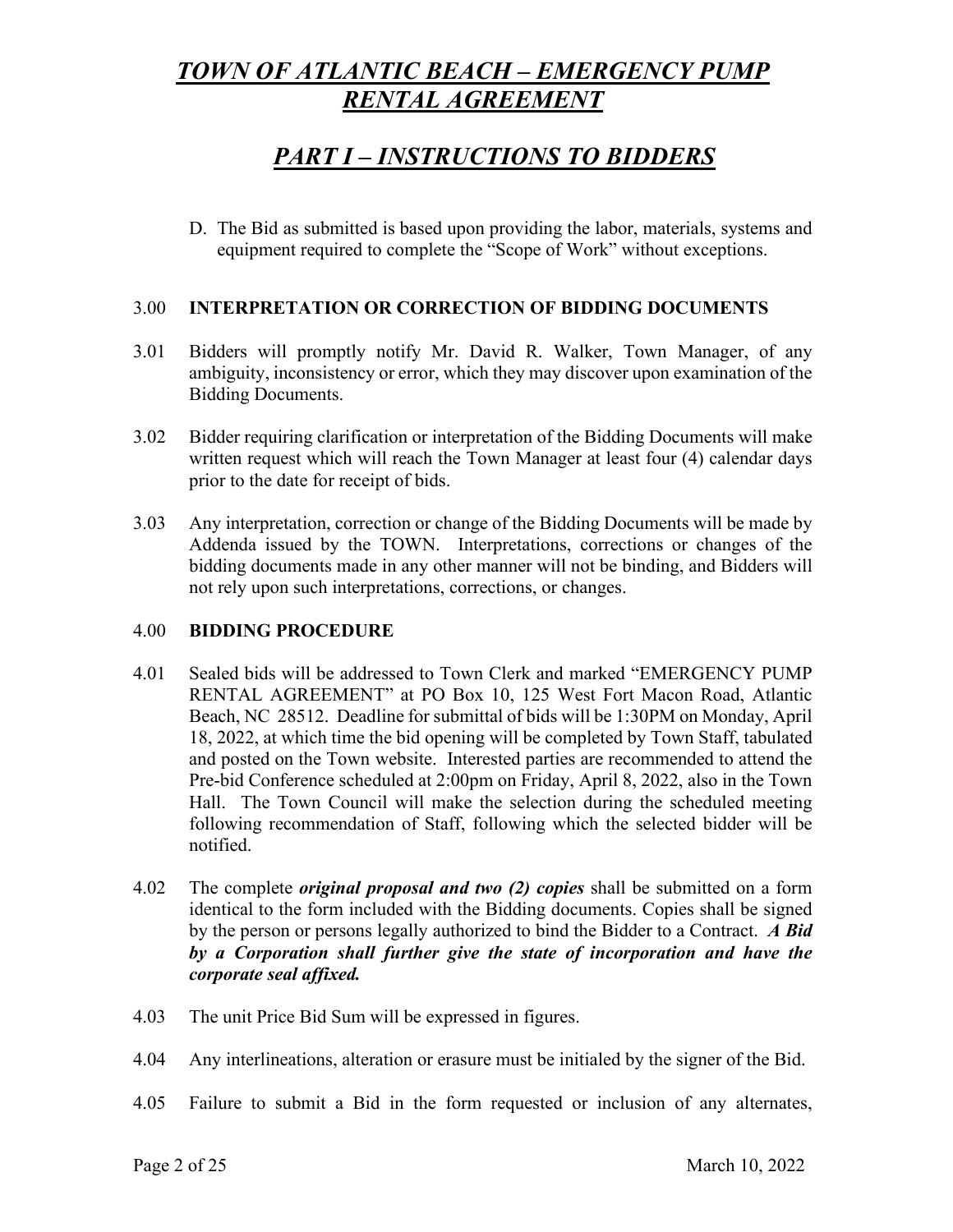## *PART I – INSTRUCTIONS TO BIDDERS*

D. The Bid as submitted is based upon providing the labor, materials, systems and equipment required to complete the "Scope of Work" without exceptions.

### 3.00 **INTERPRETATION OR CORRECTION OF BIDDING DOCUMENTS**

- 3.01 Bidders will promptly notify Mr. David R. Walker, Town Manager, of any ambiguity, inconsistency or error, which they may discover upon examination of the Bidding Documents.
- 3.02 Bidder requiring clarification or interpretation of the Bidding Documents will make written request which will reach the Town Manager at least four (4) calendar days prior to the date for receipt of bids.
- 3.03 Any interpretation, correction or change of the Bidding Documents will be made by Addenda issued by the TOWN. Interpretations, corrections or changes of the bidding documents made in any other manner will not be binding, and Bidders will not rely upon such interpretations, corrections, or changes.

### 4.00 **BIDDING PROCEDURE**

- 4.01 Sealed bids will be addressed to Town Clerk and marked "EMERGENCY PUMP RENTAL AGREEMENT" at PO Box 10, 125 West Fort Macon Road, Atlantic Beach, NC 28512. Deadline for submittal of bids will be 1:30PM on Monday, April 18, 2022, at which time the bid opening will be completed by Town Staff, tabulated and posted on the Town website. Interested parties are recommended to attend the Pre-bid Conference scheduled at 2:00pm on Friday, April 8, 2022, also in the Town Hall. The Town Council will make the selection during the scheduled meeting following recommendation of Staff, following which the selected bidder will be notified.
- 4.02 The complete *original proposal and two (2) copies* shall be submitted on a form identical to the form included with the Bidding documents. Copies shall be signed by the person or persons legally authorized to bind the Bidder to a Contract. *A Bid by a Corporation shall further give the state of incorporation and have the corporate seal affixed.*
- 4.03 The unit Price Bid Sum will be expressed in figures.
- 4.04 Any interlineations, alteration or erasure must be initialed by the signer of the Bid.
- 4.05 Failure to submit a Bid in the form requested or inclusion of any alternates,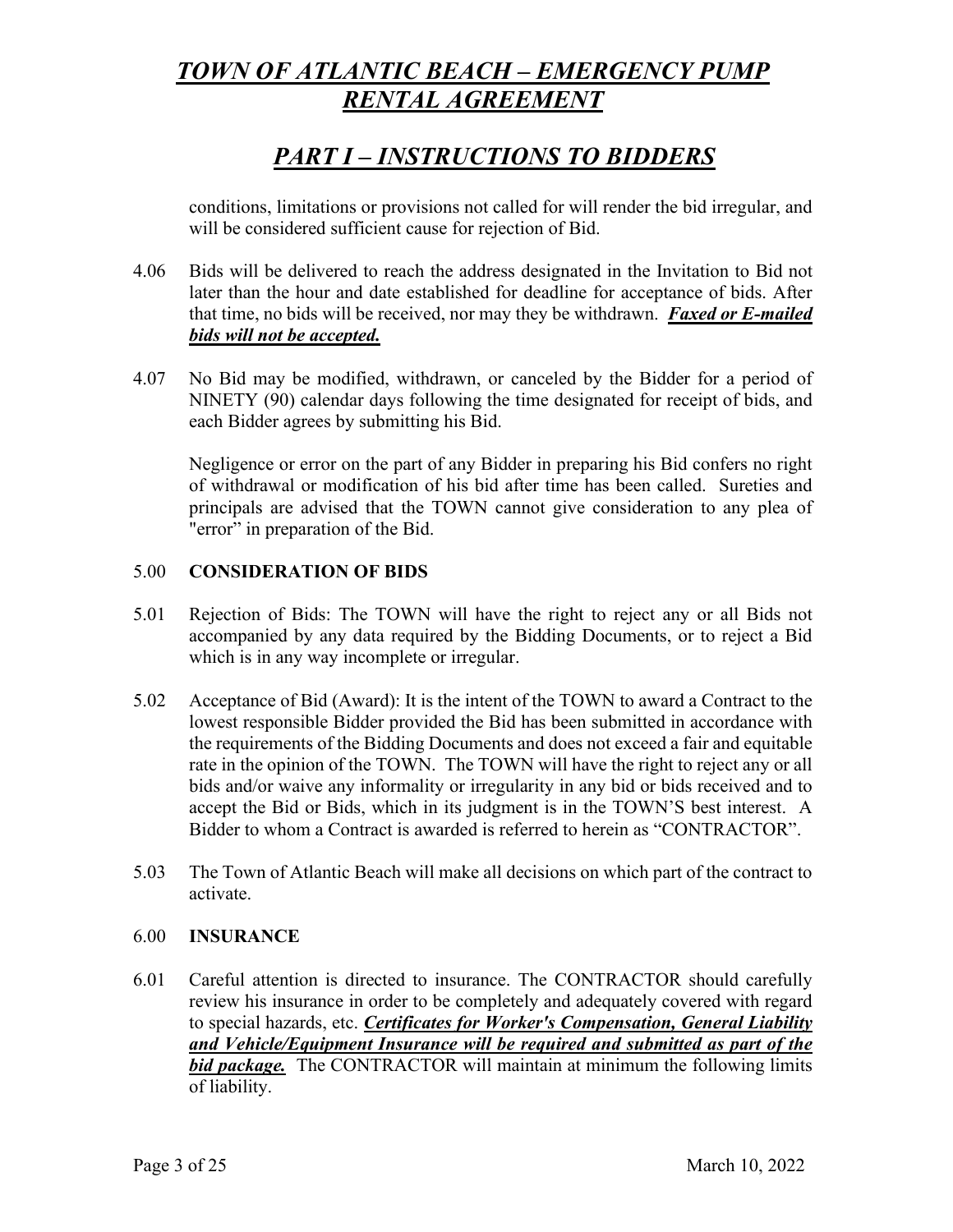## *PART I – INSTRUCTIONS TO BIDDERS*

conditions, limitations or provisions not called for will render the bid irregular, and will be considered sufficient cause for rejection of Bid.

- 4.06 Bids will be delivered to reach the address designated in the Invitation to Bid not later than the hour and date established for deadline for acceptance of bids. After that time, no bids will be received, nor may they be withdrawn. *Faxed or E-mailed bids will not be accepted.*
- 4.07 No Bid may be modified, withdrawn, or canceled by the Bidder for a period of NINETY (90) calendar days following the time designated for receipt of bids, and each Bidder agrees by submitting his Bid.

Negligence or error on the part of any Bidder in preparing his Bid confers no right of withdrawal or modification of his bid after time has been called. Sureties and principals are advised that the TOWN cannot give consideration to any plea of "error" in preparation of the Bid.

### 5.00 **CONSIDERATION OF BIDS**

- 5.01 Rejection of Bids: The TOWN will have the right to reject any or all Bids not accompanied by any data required by the Bidding Documents, or to reject a Bid which is in any way incomplete or irregular.
- 5.02 Acceptance of Bid (Award): It is the intent of the TOWN to award a Contract to the lowest responsible Bidder provided the Bid has been submitted in accordance with the requirements of the Bidding Documents and does not exceed a fair and equitable rate in the opinion of the TOWN. The TOWN will have the right to reject any or all bids and/or waive any informality or irregularity in any bid or bids received and to accept the Bid or Bids, which in its judgment is in the TOWN'S best interest. A Bidder to whom a Contract is awarded is referred to herein as "CONTRACTOR".
- 5.03 The Town of Atlantic Beach will make all decisions on which part of the contract to activate.

### 6.00 **INSURANCE**

6.01 Careful attention is directed to insurance. The CONTRACTOR should carefully review his insurance in order to be completely and adequately covered with regard to special hazards, etc. *Certificates for Worker's Compensation, General Liability and Vehicle/Equipment Insurance will be required and submitted as part of the bid package.* The CONTRACTOR will maintain at minimum the following limits of liability.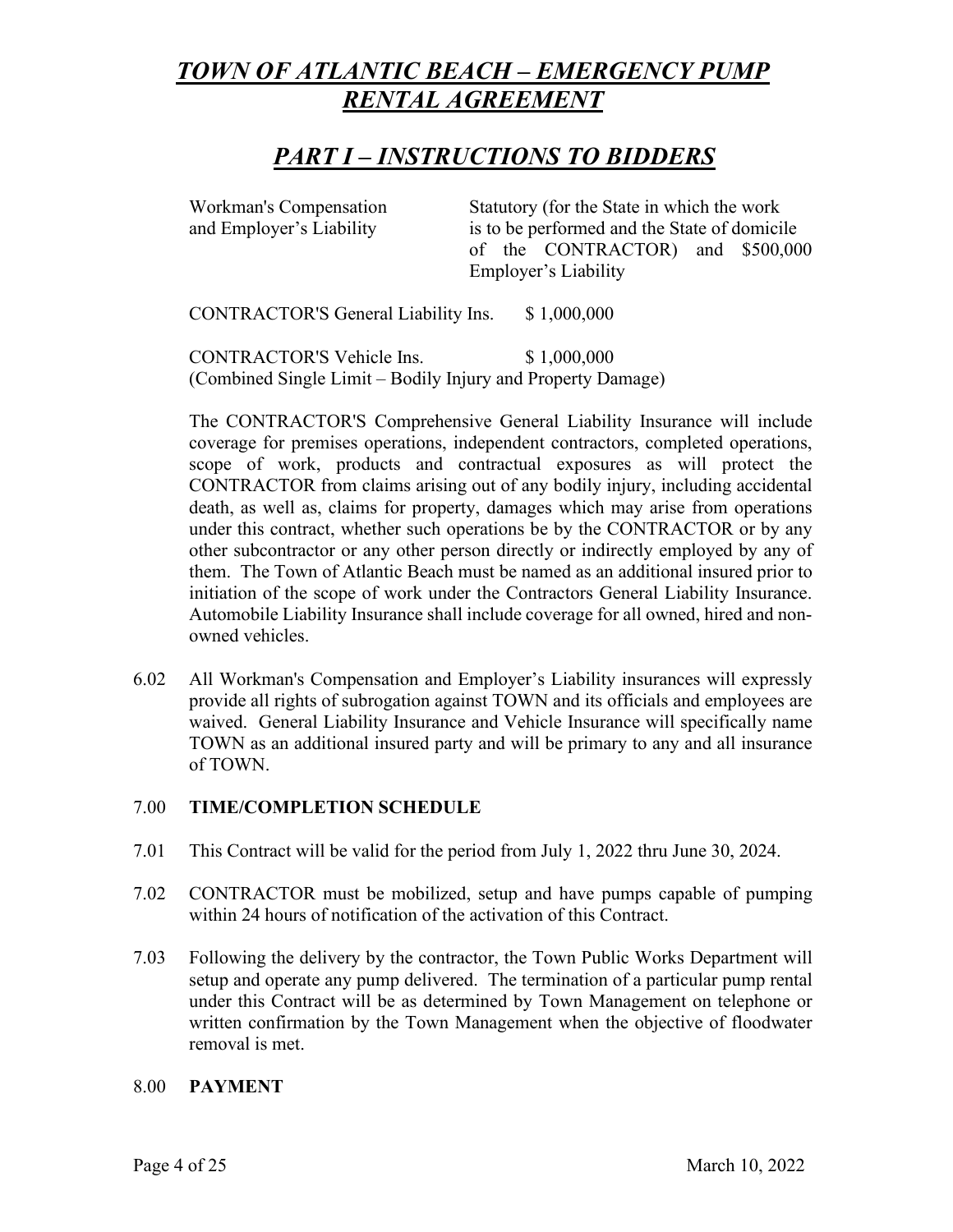### *PART I – INSTRUCTIONS TO BIDDERS*

| Workman's Compensation   | Statutory (for the State in which the work   |  |  |  |  |  |
|--------------------------|----------------------------------------------|--|--|--|--|--|
| and Employer's Liability | is to be performed and the State of domicile |  |  |  |  |  |
|                          | of the CONTRACTOR) and \$500,000             |  |  |  |  |  |
|                          | Employer's Liability                         |  |  |  |  |  |

CONTRACTOR'S General Liability Ins. \$ 1,000,000

CONTRACTOR'S Vehicle Ins. \$ 1,000,000 (Combined Single Limit – Bodily Injury and Property Damage)

The CONTRACTOR'S Comprehensive General Liability Insurance will include coverage for premises operations, independent contractors, completed operations, scope of work, products and contractual exposures as will protect the CONTRACTOR from claims arising out of any bodily injury, including accidental death, as well as, claims for property, damages which may arise from operations under this contract, whether such operations be by the CONTRACTOR or by any other subcontractor or any other person directly or indirectly employed by any of them. The Town of Atlantic Beach must be named as an additional insured prior to initiation of the scope of work under the Contractors General Liability Insurance. Automobile Liability Insurance shall include coverage for all owned, hired and nonowned vehicles.

6.02 All Workman's Compensation and Employer's Liability insurances will expressly provide all rights of subrogation against TOWN and its officials and employees are waived. General Liability Insurance and Vehicle Insurance will specifically name TOWN as an additional insured party and will be primary to any and all insurance of TOWN.

#### 7.00 **TIME/COMPLETION SCHEDULE**

- 7.01 This Contract will be valid for the period from July 1, 2022 thru June 30, 2024.
- 7.02 CONTRACTOR must be mobilized, setup and have pumps capable of pumping within 24 hours of notification of the activation of this Contract.
- 7.03 Following the delivery by the contractor, the Town Public Works Department will setup and operate any pump delivered. The termination of a particular pump rental under this Contract will be as determined by Town Management on telephone or written confirmation by the Town Management when the objective of floodwater removal is met.

#### 8.00 **PAYMENT**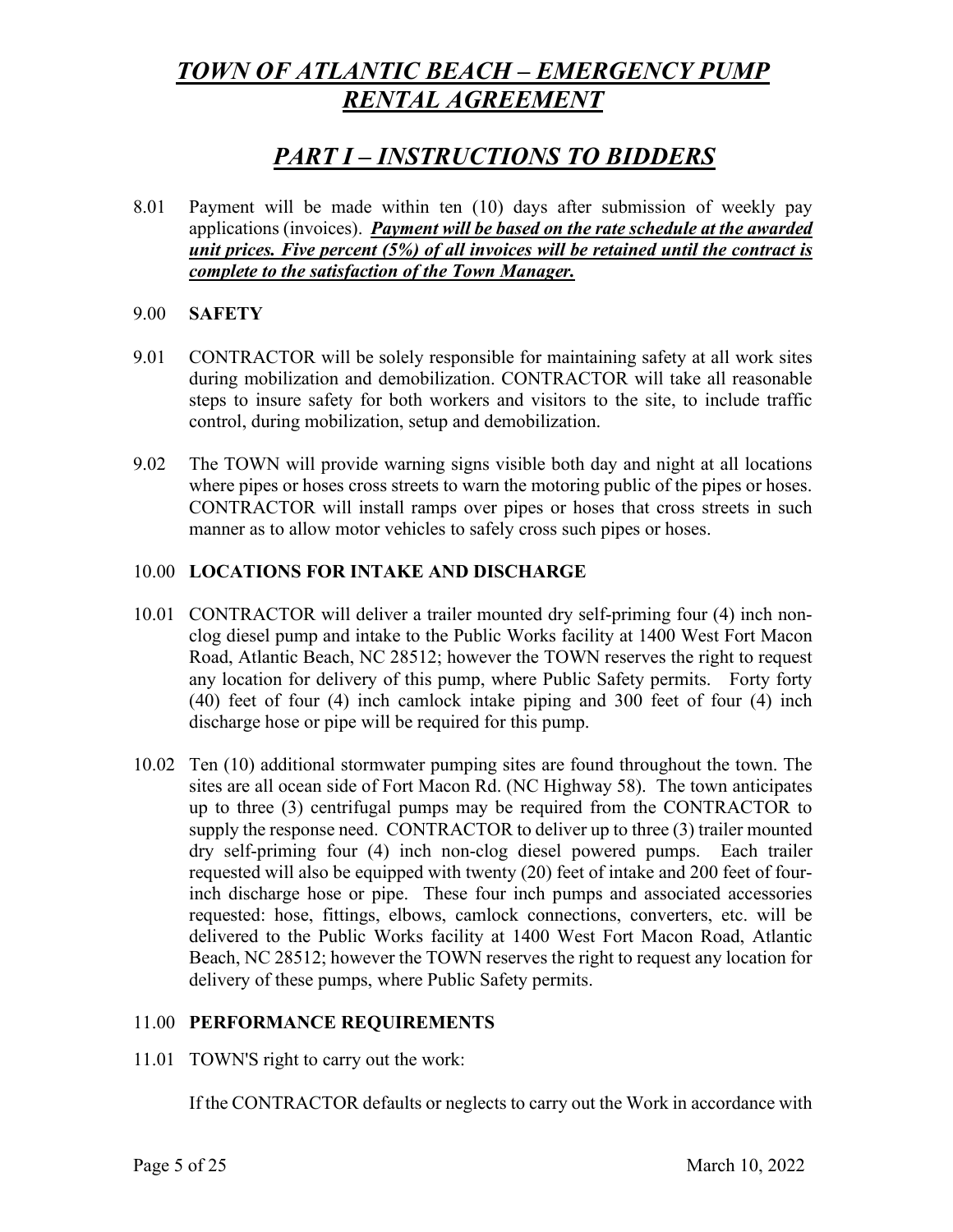### *PART I – INSTRUCTIONS TO BIDDERS*

- 8.01 Payment will be made within ten (10) days after submission of weekly pay applications (invoices). *Payment will be based on the rate schedule at the awarded unit prices. Five percent (5%) of all invoices will be retained until the contract is complete to the satisfaction of the Town Manager.*
- 9.00 **SAFETY**
- 9.01 CONTRACTOR will be solely responsible for maintaining safety at all work sites during mobilization and demobilization. CONTRACTOR will take all reasonable steps to insure safety for both workers and visitors to the site, to include traffic control, during mobilization, setup and demobilization.
- 9.02 The TOWN will provide warning signs visible both day and night at all locations where pipes or hoses cross streets to warn the motoring public of the pipes or hoses. CONTRACTOR will install ramps over pipes or hoses that cross streets in such manner as to allow motor vehicles to safely cross such pipes or hoses.

### 10.00 **LOCATIONS FOR INTAKE AND DISCHARGE**

- 10.01 CONTRACTOR will deliver a trailer mounted dry self-priming four (4) inch nonclog diesel pump and intake to the Public Works facility at 1400 West Fort Macon Road, Atlantic Beach, NC 28512; however the TOWN reserves the right to request any location for delivery of this pump, where Public Safety permits. Forty forty (40) feet of four (4) inch camlock intake piping and 300 feet of four (4) inch discharge hose or pipe will be required for this pump.
- 10.02 Ten (10) additional stormwater pumping sites are found throughout the town. The sites are all ocean side of Fort Macon Rd. (NC Highway 58). The town anticipates up to three (3) centrifugal pumps may be required from the CONTRACTOR to supply the response need. CONTRACTOR to deliver up to three (3) trailer mounted dry self-priming four (4) inch non-clog diesel powered pumps. Each trailer requested will also be equipped with twenty (20) feet of intake and 200 feet of fourinch discharge hose or pipe. These four inch pumps and associated accessories requested: hose, fittings, elbows, camlock connections, converters, etc. will be delivered to the Public Works facility at 1400 West Fort Macon Road, Atlantic Beach, NC 28512; however the TOWN reserves the right to request any location for delivery of these pumps, where Public Safety permits.

### 11.00 **PERFORMANCE REQUIREMENTS**

11.01 TOWN'S right to carry out the work:

If the CONTRACTOR defaults or neglects to carry out the Work in accordance with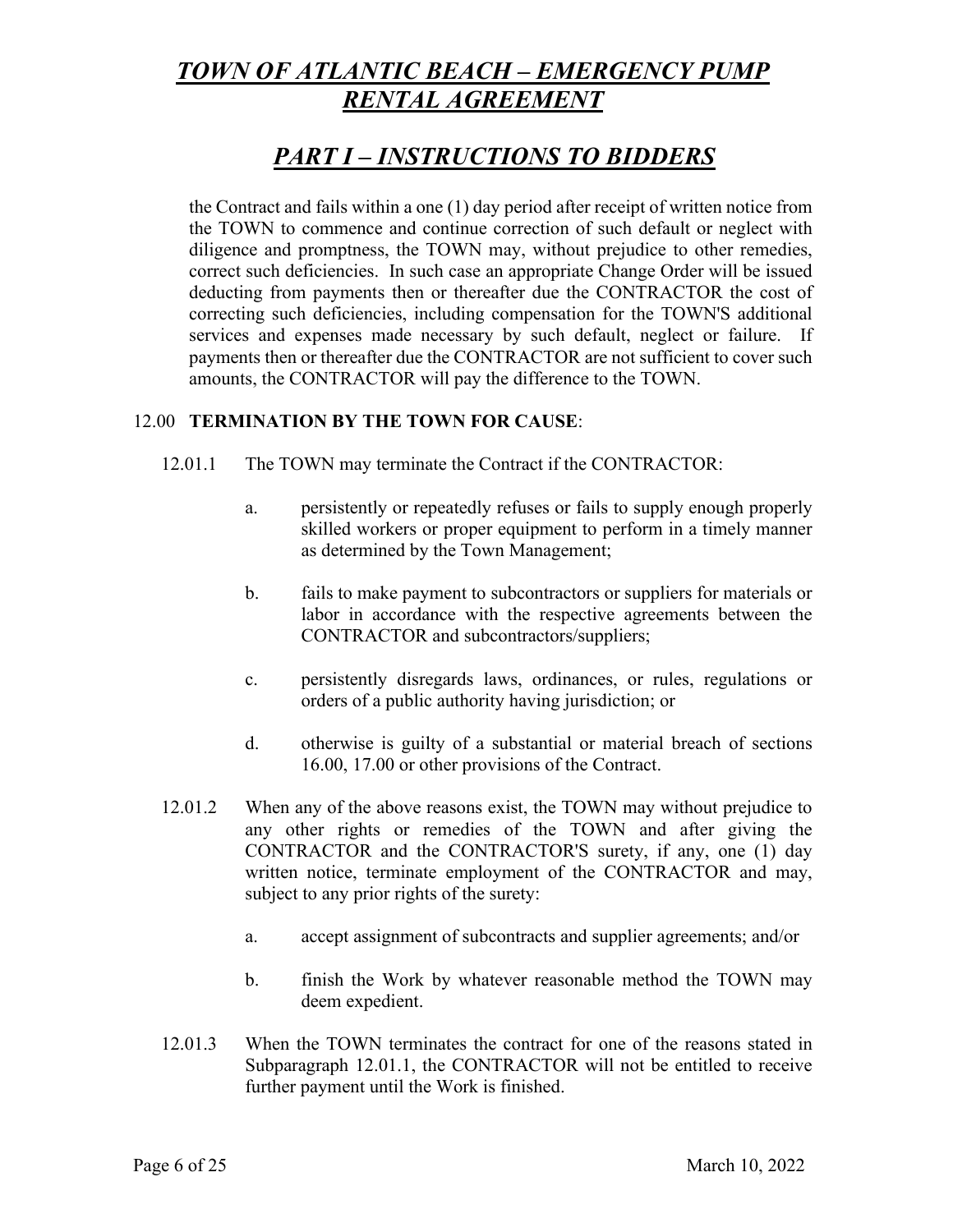# *PART I – INSTRUCTIONS TO BIDDERS*

the Contract and fails within a one (1) day period after receipt of written notice from the TOWN to commence and continue correction of such default or neglect with diligence and promptness, the TOWN may, without prejudice to other remedies, correct such deficiencies. In such case an appropriate Change Order will be issued deducting from payments then or thereafter due the CONTRACTOR the cost of correcting such deficiencies, including compensation for the TOWN'S additional services and expenses made necessary by such default, neglect or failure. If payments then or thereafter due the CONTRACTOR are not sufficient to cover such amounts, the CONTRACTOR will pay the difference to the TOWN.

### 12.00 **TERMINATION BY THE TOWN FOR CAUSE**:

- 12.01.1 The TOWN may terminate the Contract if the CONTRACTOR:
	- a. persistently or repeatedly refuses or fails to supply enough properly skilled workers or proper equipment to perform in a timely manner as determined by the Town Management;
	- b. fails to make payment to subcontractors or suppliers for materials or labor in accordance with the respective agreements between the CONTRACTOR and subcontractors/suppliers;
	- c. persistently disregards laws, ordinances, or rules, regulations or orders of a public authority having jurisdiction; or
	- d. otherwise is guilty of a substantial or material breach of sections 16.00, 17.00 or other provisions of the Contract.
- 12.01.2 When any of the above reasons exist, the TOWN may without prejudice to any other rights or remedies of the TOWN and after giving the CONTRACTOR and the CONTRACTOR'S surety, if any, one (1) day written notice, terminate employment of the CONTRACTOR and may, subject to any prior rights of the surety:
	- a. accept assignment of subcontracts and supplier agreements; and/or
	- b. finish the Work by whatever reasonable method the TOWN may deem expedient.
- 12.01.3 When the TOWN terminates the contract for one of the reasons stated in Subparagraph 12.01.1, the CONTRACTOR will not be entitled to receive further payment until the Work is finished.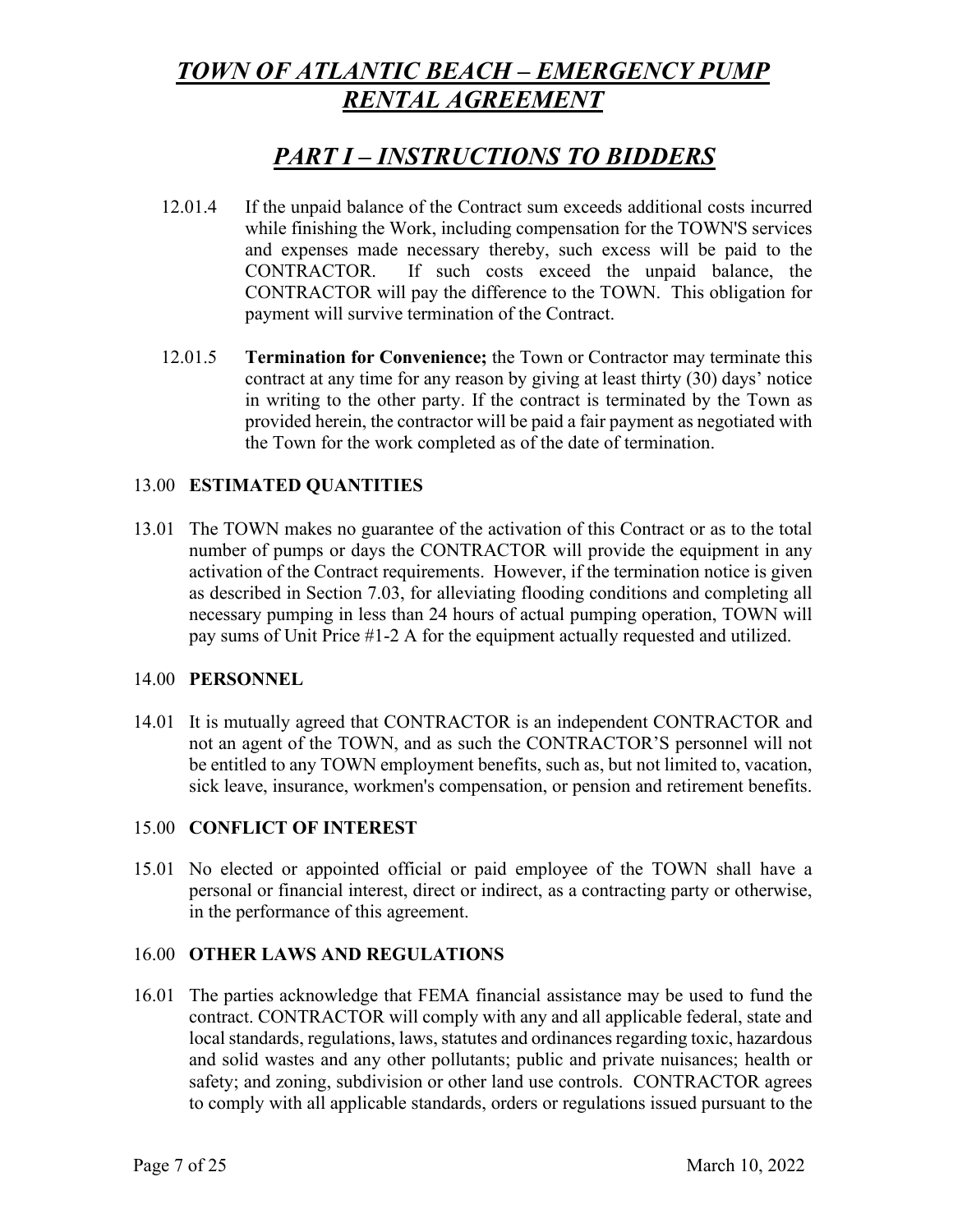# *PART I – INSTRUCTIONS TO BIDDERS*

- 12.01.4 If the unpaid balance of the Contract sum exceeds additional costs incurred while finishing the Work, including compensation for the TOWN'S services and expenses made necessary thereby, such excess will be paid to the CONTRACTOR. If such costs exceed the unpaid balance, the CONTRACTOR will pay the difference to the TOWN. This obligation for payment will survive termination of the Contract.
- 12.01.5 **Termination for Convenience;** the Town or Contractor may terminate this contract at any time for any reason by giving at least thirty (30) days' notice in writing to the other party. If the contract is terminated by the Town as provided herein, the contractor will be paid a fair payment as negotiated with the Town for the work completed as of the date of termination.

### 13.00 **ESTIMATED QUANTITIES**

13.01 The TOWN makes no guarantee of the activation of this Contract or as to the total number of pumps or days the CONTRACTOR will provide the equipment in any activation of the Contract requirements. However, if the termination notice is given as described in Section 7.03, for alleviating flooding conditions and completing all necessary pumping in less than 24 hours of actual pumping operation, TOWN will pay sums of Unit Price #1-2 A for the equipment actually requested and utilized.

#### 14.00 **PERSONNEL**

14.01 It is mutually agreed that CONTRACTOR is an independent CONTRACTOR and not an agent of the TOWN, and as such the CONTRACTOR'S personnel will not be entitled to any TOWN employment benefits, such as, but not limited to, vacation, sick leave, insurance, workmen's compensation, or pension and retirement benefits.

#### 15.00 **CONFLICT OF INTEREST**

15.01 No elected or appointed official or paid employee of the TOWN shall have a personal or financial interest, direct or indirect, as a contracting party or otherwise, in the performance of this agreement.

### 16.00 **OTHER LAWS AND REGULATIONS**

16.01 The parties acknowledge that FEMA financial assistance may be used to fund the contract. CONTRACTOR will comply with any and all applicable federal, state and local standards, regulations, laws, statutes and ordinances regarding toxic, hazardous and solid wastes and any other pollutants; public and private nuisances; health or safety; and zoning, subdivision or other land use controls. CONTRACTOR agrees to comply with all applicable standards, orders or regulations issued pursuant to the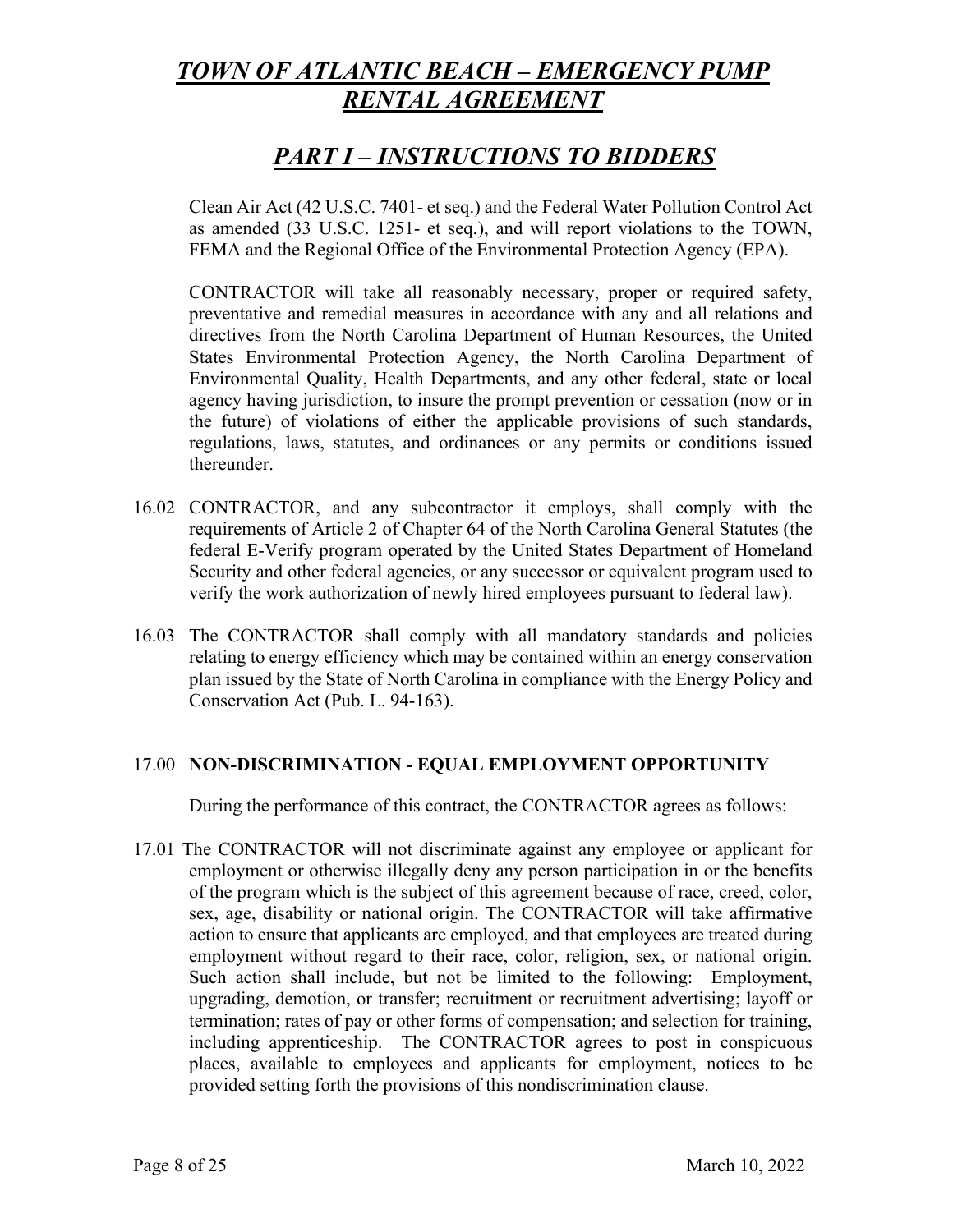## *PART I – INSTRUCTIONS TO BIDDERS*

Clean Air Act (42 U.S.C. 7401- et seq.) and the Federal Water Pollution Control Act as amended (33 U.S.C. 1251- et seq.), and will report violations to the TOWN, FEMA and the Regional Office of the Environmental Protection Agency (EPA).

CONTRACTOR will take all reasonably necessary, proper or required safety, preventative and remedial measures in accordance with any and all relations and directives from the North Carolina Department of Human Resources, the United States Environmental Protection Agency, the North Carolina Department of Environmental Quality, Health Departments, and any other federal, state or local agency having jurisdiction, to insure the prompt prevention or cessation (now or in the future) of violations of either the applicable provisions of such standards, regulations, laws, statutes, and ordinances or any permits or conditions issued thereunder.

- 16.02 CONTRACTOR, and any subcontractor it employs, shall comply with the requirements of Article 2 of Chapter 64 of the North Carolina General Statutes (the federal E-Verify program operated by the United States Department of Homeland Security and other federal agencies, or any successor or equivalent program used to verify the work authorization of newly hired employees pursuant to federal law).
- 16.03 The CONTRACTOR shall comply with all mandatory standards and policies relating to energy efficiency which may be contained within an energy conservation plan issued by the State of North Carolina in compliance with the Energy Policy and Conservation Act (Pub. L. 94-163).

### 17.00 **NON-DISCRIMINATION - EQUAL EMPLOYMENT OPPORTUNITY**

During the performance of this contract, the CONTRACTOR agrees as follows:

17.01 The CONTRACTOR will not discriminate against any employee or applicant for employment or otherwise illegally deny any person participation in or the benefits of the program which is the subject of this agreement because of race, creed, color, sex, age, disability or national origin. The CONTRACTOR will take affirmative action to ensure that applicants are employed, and that employees are treated during employment without regard to their race, color, religion, sex, or national origin. Such action shall include, but not be limited to the following: Employment, upgrading, demotion, or transfer; recruitment or recruitment advertising; layoff or termination; rates of pay or other forms of compensation; and selection for training, including apprenticeship. The CONTRACTOR agrees to post in conspicuous places, available to employees and applicants for employment, notices to be provided setting forth the provisions of this nondiscrimination clause.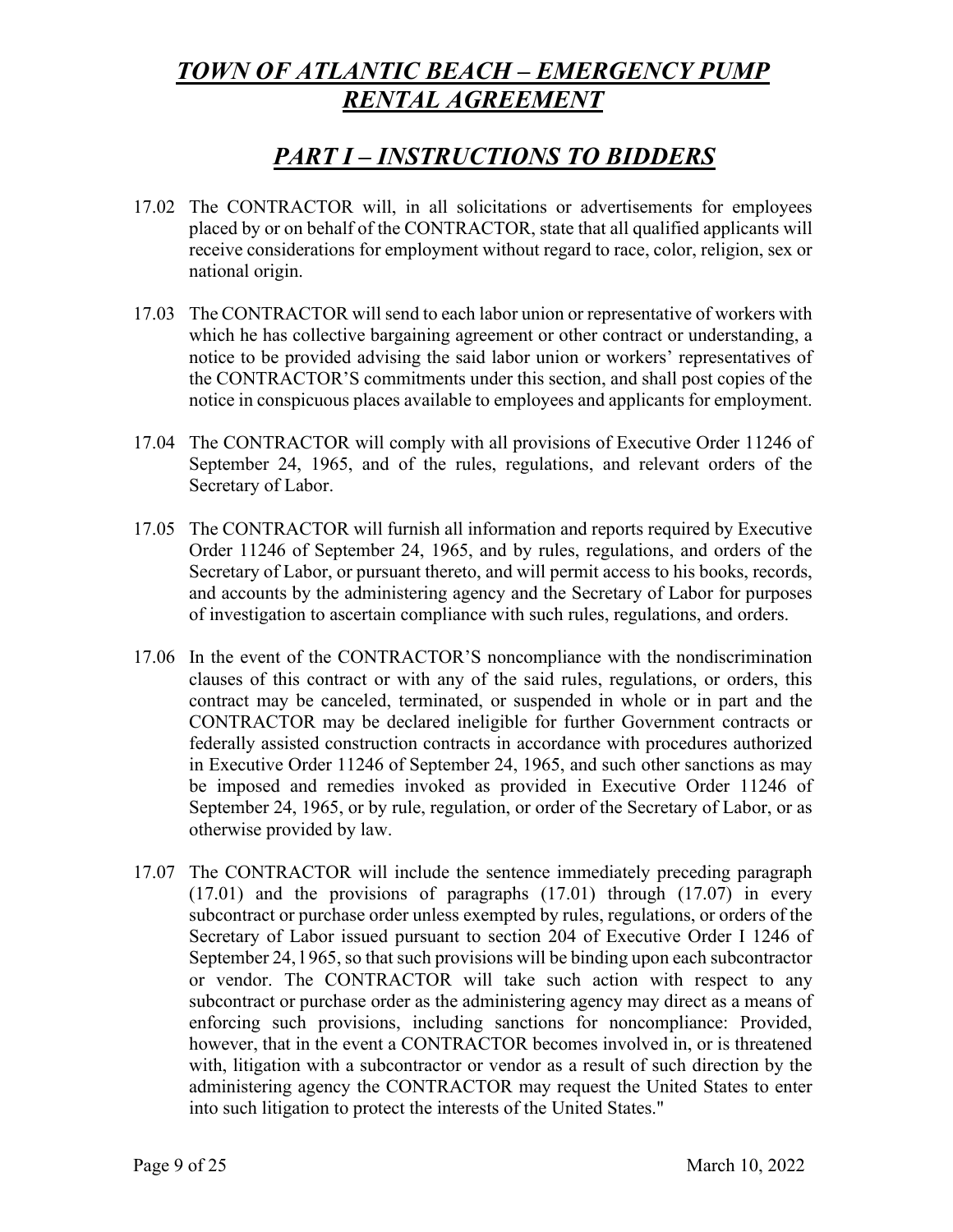## *PART I – INSTRUCTIONS TO BIDDERS*

- 17.02 The CONTRACTOR will, in all solicitations or advertisements for employees placed by or on behalf of the CONTRACTOR, state that all qualified applicants will receive considerations for employment without regard to race, color, religion, sex or national origin.
- 17.03 The CONTRACTOR will send to each labor union or representative of workers with which he has collective bargaining agreement or other contract or understanding, a notice to be provided advising the said labor union or workers' representatives of the CONTRACTOR'S commitments under this section, and shall post copies of the notice in conspicuous places available to employees and applicants for employment.
- 17.04 The CONTRACTOR will comply with all provisions of Executive Order 11246 of September 24, 1965, and of the rules, regulations, and relevant orders of the Secretary of Labor.
- 17.05 The CONTRACTOR will furnish all information and reports required by Executive Order 11246 of September 24, 1965, and by rules, regulations, and orders of the Secretary of Labor, or pursuant thereto, and will permit access to his books, records, and accounts by the administering agency and the Secretary of Labor for purposes of investigation to ascertain compliance with such rules, regulations, and orders.
- 17.06 In the event of the CONTRACTOR'S noncompliance with the nondiscrimination clauses of this contract or with any of the said rules, regulations, or orders, this contract may be canceled, terminated, or suspended in whole or in part and the CONTRACTOR may be declared ineligible for further Government contracts or federally assisted construction contracts in accordance with procedures authorized in Executive Order 11246 of September 24, 1965, and such other sanctions as may be imposed and remedies invoked as provided in Executive Order 11246 of September 24, 1965, or by rule, regulation, or order of the Secretary of Labor, or as otherwise provided by law.
- 17.07 The CONTRACTOR will include the sentence immediately preceding paragraph (17.01) and the provisions of paragraphs (17.01) through (17.07) in every subcontract or purchase order unless exempted by rules, regulations, or orders of the Secretary of Labor issued pursuant to section 204 of Executive Order I 1246 of September 24, l 965, so that such provisions will be binding upon each subcontractor or vendor. The CONTRACTOR will take such action with respect to any subcontract or purchase order as the administering agency may direct as a means of enforcing such provisions, including sanctions for noncompliance: Provided, however, that in the event a CONTRACTOR becomes involved in, or is threatened with, litigation with a subcontractor or vendor as a result of such direction by the administering agency the CONTRACTOR may request the United States to enter into such litigation to protect the interests of the United States."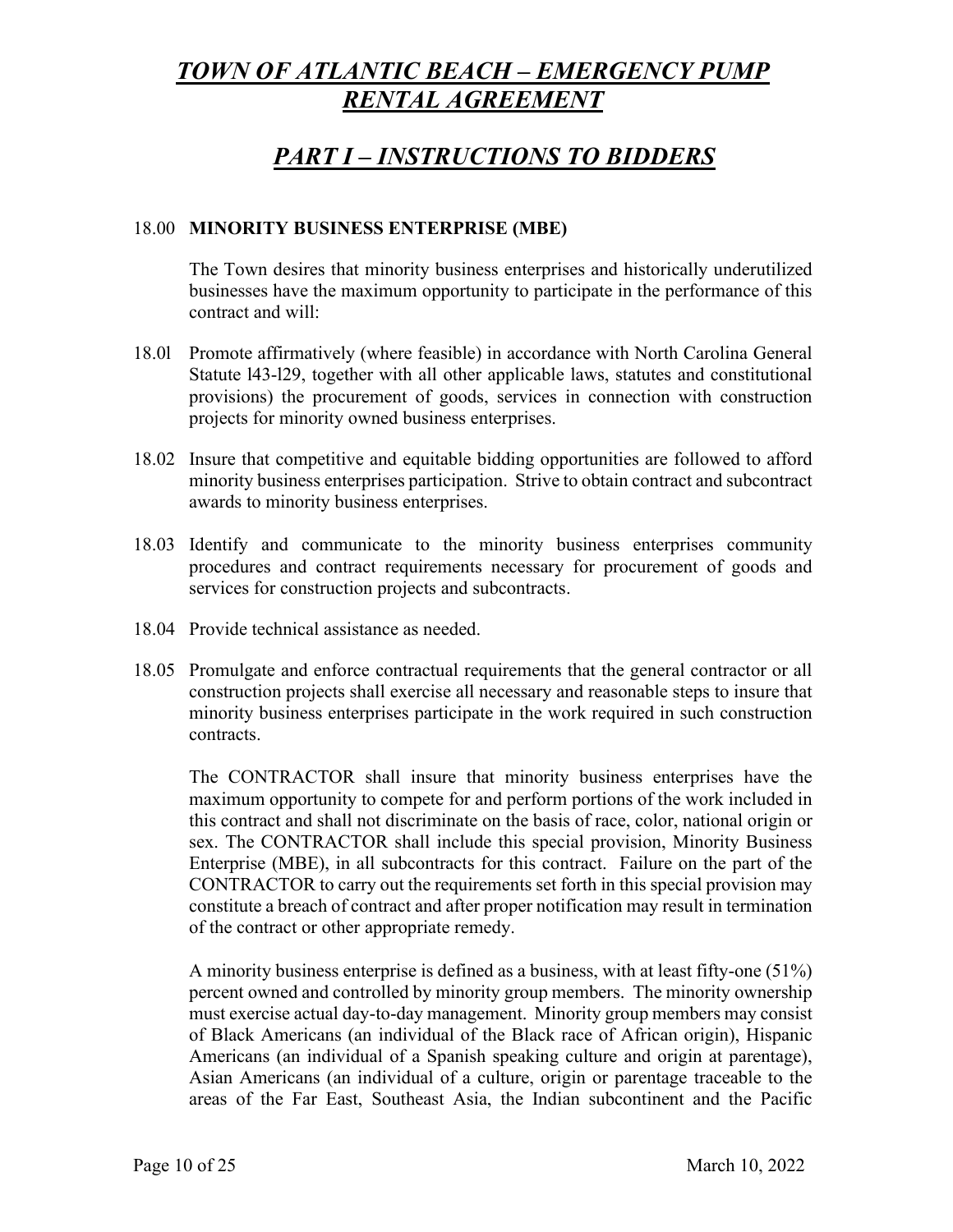### *PART I – INSTRUCTIONS TO BIDDERS*

### 18.00 **MINORITY BUSINESS ENTERPRISE (MBE)**

The Town desires that minority business enterprises and historically underutilized businesses have the maximum opportunity to participate in the performance of this contract and will:

- 18.0l Promote affirmatively (where feasible) in accordance with North Carolina General Statute l43-l29, together with all other applicable laws, statutes and constitutional provisions) the procurement of goods, services in connection with construction projects for minority owned business enterprises.
- 18.02 Insure that competitive and equitable bidding opportunities are followed to afford minority business enterprises participation. Strive to obtain contract and subcontract awards to minority business enterprises.
- 18.03 Identify and communicate to the minority business enterprises community procedures and contract requirements necessary for procurement of goods and services for construction projects and subcontracts.
- 18.04 Provide technical assistance as needed.
- 18.05 Promulgate and enforce contractual requirements that the general contractor or all construction projects shall exercise all necessary and reasonable steps to insure that minority business enterprises participate in the work required in such construction contracts.

The CONTRACTOR shall insure that minority business enterprises have the maximum opportunity to compete for and perform portions of the work included in this contract and shall not discriminate on the basis of race, color, national origin or sex. The CONTRACTOR shall include this special provision, Minority Business Enterprise (MBE), in all subcontracts for this contract. Failure on the part of the CONTRACTOR to carry out the requirements set forth in this special provision may constitute a breach of contract and after proper notification may result in termination of the contract or other appropriate remedy.

A minority business enterprise is defined as a business, with at least fifty-one (51%) percent owned and controlled by minority group members. The minority ownership must exercise actual day-to-day management. Minority group members may consist of Black Americans (an individual of the Black race of African origin), Hispanic Americans (an individual of a Spanish speaking culture and origin at parentage), Asian Americans (an individual of a culture, origin or parentage traceable to the areas of the Far East, Southeast Asia, the Indian subcontinent and the Pacific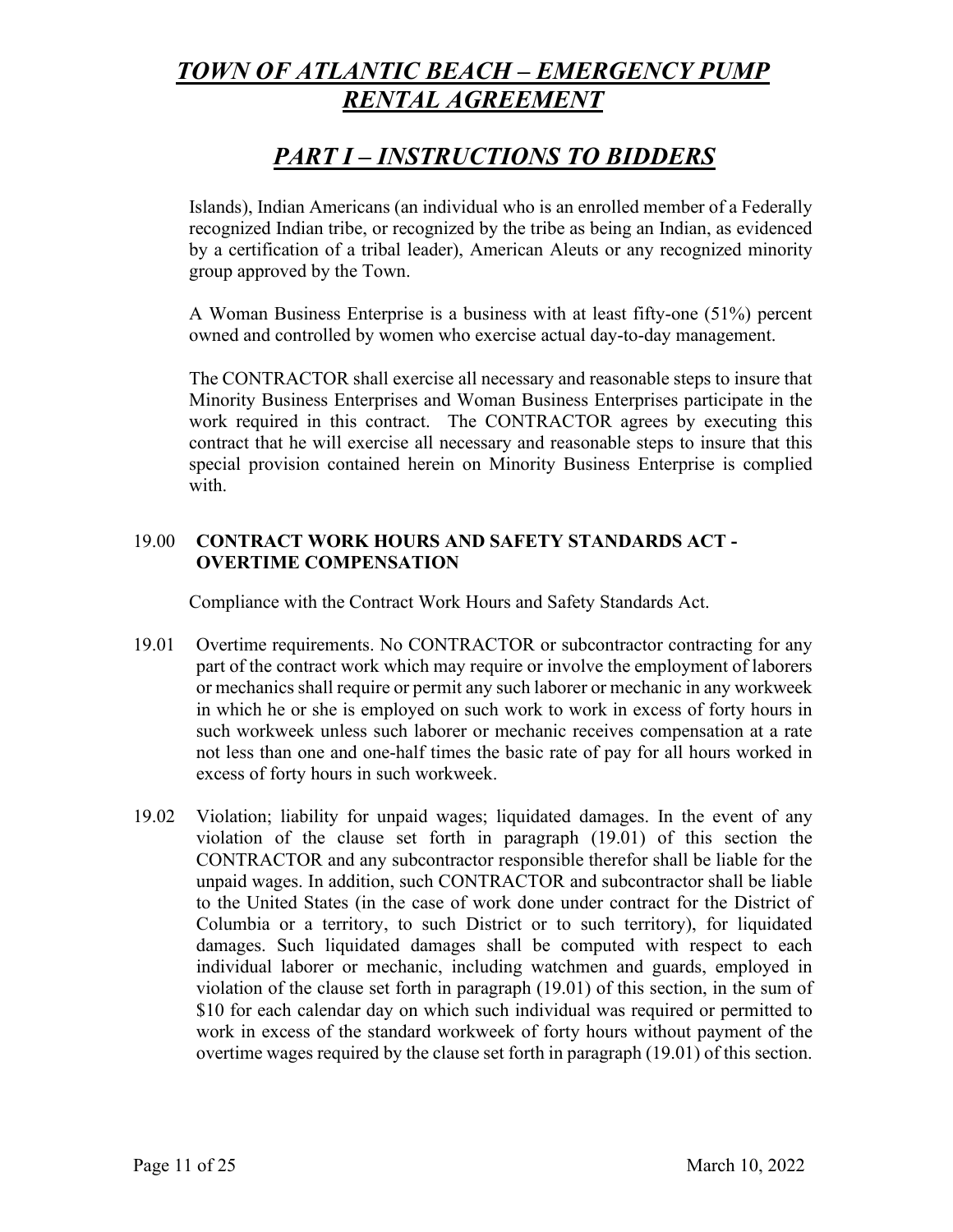# *PART I – INSTRUCTIONS TO BIDDERS*

Islands), Indian Americans (an individual who is an enrolled member of a Federally recognized Indian tribe, or recognized by the tribe as being an Indian, as evidenced by a certification of a tribal leader), American Aleuts or any recognized minority group approved by the Town.

A Woman Business Enterprise is a business with at least fifty-one (51%) percent owned and controlled by women who exercise actual day-to-day management.

The CONTRACTOR shall exercise all necessary and reasonable steps to insure that Minority Business Enterprises and Woman Business Enterprises participate in the work required in this contract. The CONTRACTOR agrees by executing this contract that he will exercise all necessary and reasonable steps to insure that this special provision contained herein on Minority Business Enterprise is complied with.

### 19.00 **CONTRACT WORK HOURS AND SAFETY STANDARDS ACT - OVERTIME COMPENSATION**

Compliance with the Contract Work Hours and Safety Standards Act.

- 19.01 Overtime requirements. No CONTRACTOR or subcontractor contracting for any part of the contract work which may require or involve the employment of laborers or mechanics shall require or permit any such laborer or mechanic in any workweek in which he or she is employed on such work to work in excess of forty hours in such workweek unless such laborer or mechanic receives compensation at a rate not less than one and one-half times the basic rate of pay for all hours worked in excess of forty hours in such workweek.
- 19.02 Violation; liability for unpaid wages; liquidated damages. In the event of any violation of the clause set forth in paragraph (19.01) of this section the CONTRACTOR and any subcontractor responsible therefor shall be liable for the unpaid wages. In addition, such CONTRACTOR and subcontractor shall be liable to the United States (in the case of work done under contract for the District of Columbia or a territory, to such District or to such territory), for liquidated damages. Such liquidated damages shall be computed with respect to each individual laborer or mechanic, including watchmen and guards, employed in violation of the clause set forth in paragraph (19.01) of this section, in the sum of \$10 for each calendar day on which such individual was required or permitted to work in excess of the standard workweek of forty hours without payment of the overtime wages required by the clause set forth in paragraph (19.01) of this section.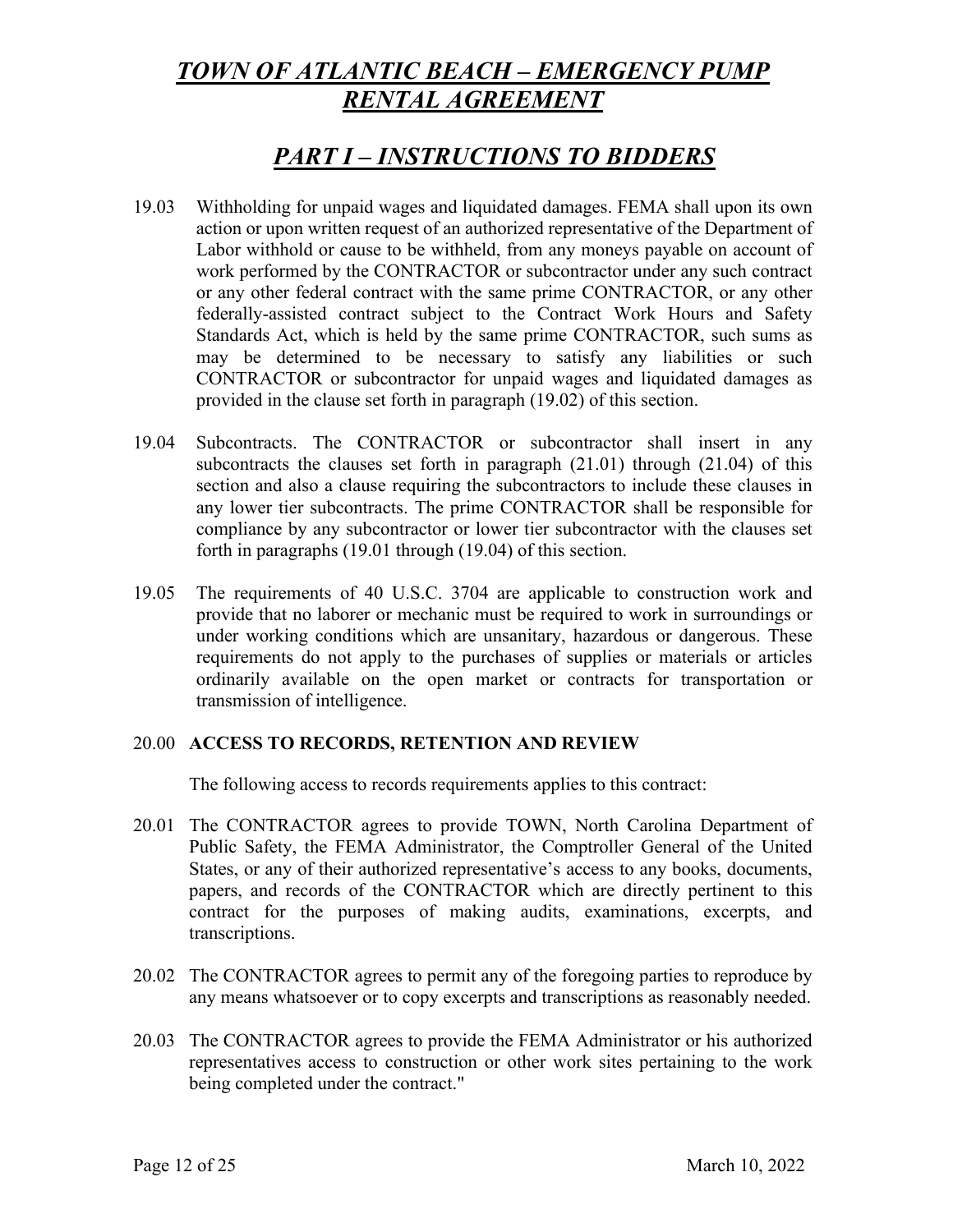### *PART I – INSTRUCTIONS TO BIDDERS*

- 19.03 Withholding for unpaid wages and liquidated damages. FEMA shall upon its own action or upon written request of an authorized representative of the Department of Labor withhold or cause to be withheld, from any moneys payable on account of work performed by the CONTRACTOR or subcontractor under any such contract or any other federal contract with the same prime CONTRACTOR, or any other federally-assisted contract subject to the Contract Work Hours and Safety Standards Act, which is held by the same prime CONTRACTOR, such sums as may be determined to be necessary to satisfy any liabilities or such CONTRACTOR or subcontractor for unpaid wages and liquidated damages as provided in the clause set forth in paragraph (19.02) of this section.
- 19.04 Subcontracts. The CONTRACTOR or subcontractor shall insert in any subcontracts the clauses set forth in paragraph (21.01) through (21.04) of this section and also a clause requiring the subcontractors to include these clauses in any lower tier subcontracts. The prime CONTRACTOR shall be responsible for compliance by any subcontractor or lower tier subcontractor with the clauses set forth in paragraphs (19.01 through (19.04) of this section.
- 19.05 The requirements of 40 U.S.C. 3704 are applicable to construction work and provide that no laborer or mechanic must be required to work in surroundings or under working conditions which are unsanitary, hazardous or dangerous. These requirements do not apply to the purchases of supplies or materials or articles ordinarily available on the open market or contracts for transportation or transmission of intelligence.

#### 20.00 **ACCESS TO RECORDS, RETENTION AND REVIEW**

The following access to records requirements applies to this contract:

- 20.01 The CONTRACTOR agrees to provide TOWN, North Carolina Department of Public Safety, the FEMA Administrator, the Comptroller General of the United States, or any of their authorized representative's access to any books, documents, papers, and records of the CONTRACTOR which are directly pertinent to this contract for the purposes of making audits, examinations, excerpts, and transcriptions.
- 20.02 The CONTRACTOR agrees to permit any of the foregoing parties to reproduce by any means whatsoever or to copy excerpts and transcriptions as reasonably needed.
- 20.03 The CONTRACTOR agrees to provide the FEMA Administrator or his authorized representatives access to construction or other work sites pertaining to the work being completed under the contract."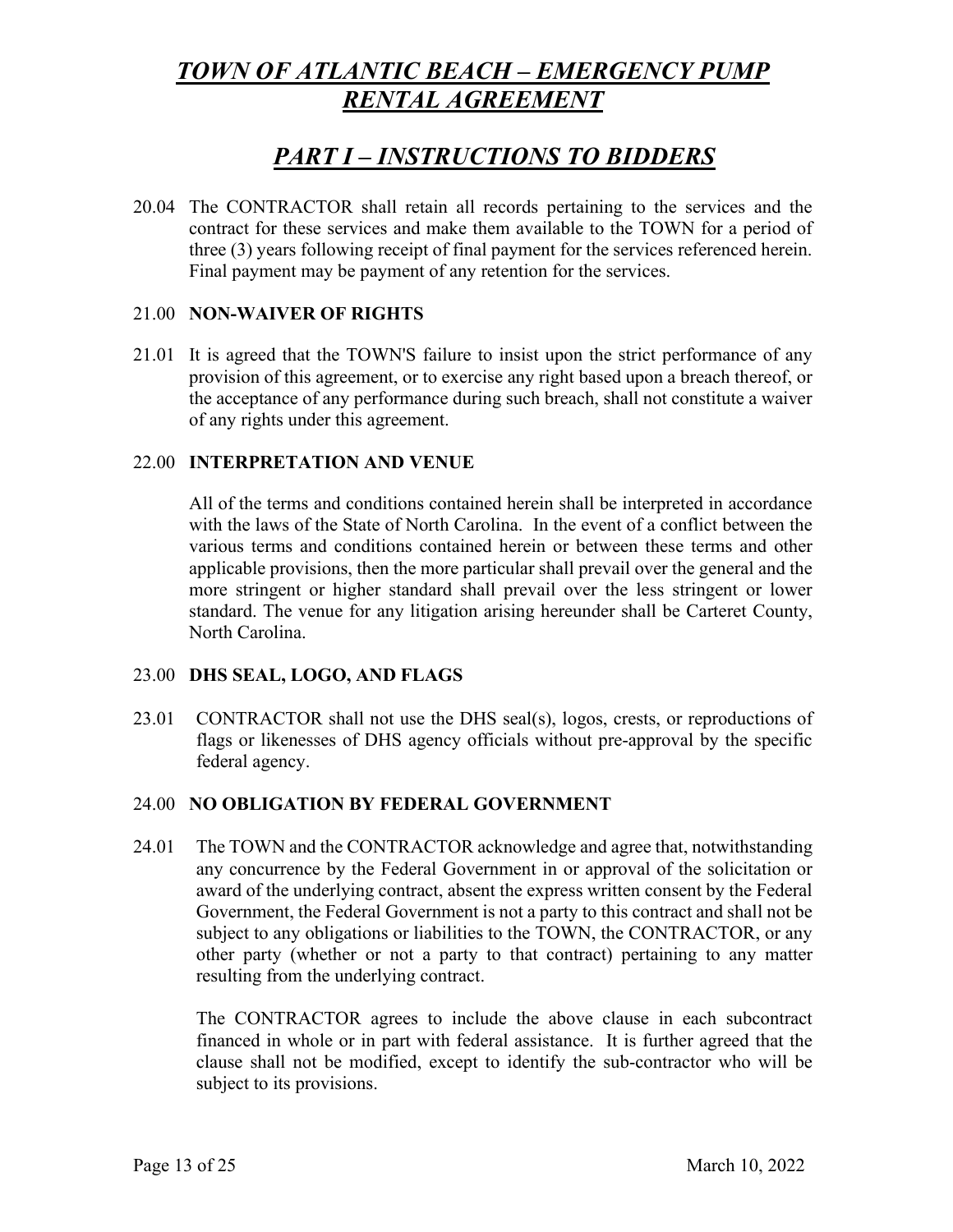### *PART I – INSTRUCTIONS TO BIDDERS*

20.04 The CONTRACTOR shall retain all records pertaining to the services and the contract for these services and make them available to the TOWN for a period of three (3) years following receipt of final payment for the services referenced herein. Final payment may be payment of any retention for the services.

#### 21.00 **NON-WAIVER OF RIGHTS**

21.01 It is agreed that the TOWN'S failure to insist upon the strict performance of any provision of this agreement, or to exercise any right based upon a breach thereof, or the acceptance of any performance during such breach, shall not constitute a waiver of any rights under this agreement.

#### 22.00 **INTERPRETATION AND VENUE**

All of the terms and conditions contained herein shall be interpreted in accordance with the laws of the State of North Carolina. In the event of a conflict between the various terms and conditions contained herein or between these terms and other applicable provisions, then the more particular shall prevail over the general and the more stringent or higher standard shall prevail over the less stringent or lower standard. The venue for any litigation arising hereunder shall be Carteret County, North Carolina.

#### 23.00 **DHS SEAL, LOGO, AND FLAGS**

23.01 CONTRACTOR shall not use the DHS seal(s), logos, crests, or reproductions of flags or likenesses of DHS agency officials without pre-approval by the specific federal agency.

### 24.00 **NO OBLIGATION BY FEDERAL GOVERNMENT**

24.01 The TOWN and the CONTRACTOR acknowledge and agree that, notwithstanding any concurrence by the Federal Government in or approval of the solicitation or award of the underlying contract, absent the express written consent by the Federal Government, the Federal Government is not a party to this contract and shall not be subject to any obligations or liabilities to the TOWN, the CONTRACTOR, or any other party (whether or not a party to that contract) pertaining to any matter resulting from the underlying contract.

The CONTRACTOR agrees to include the above clause in each subcontract financed in whole or in part with federal assistance. It is further agreed that the clause shall not be modified, except to identify the sub-contractor who will be subject to its provisions.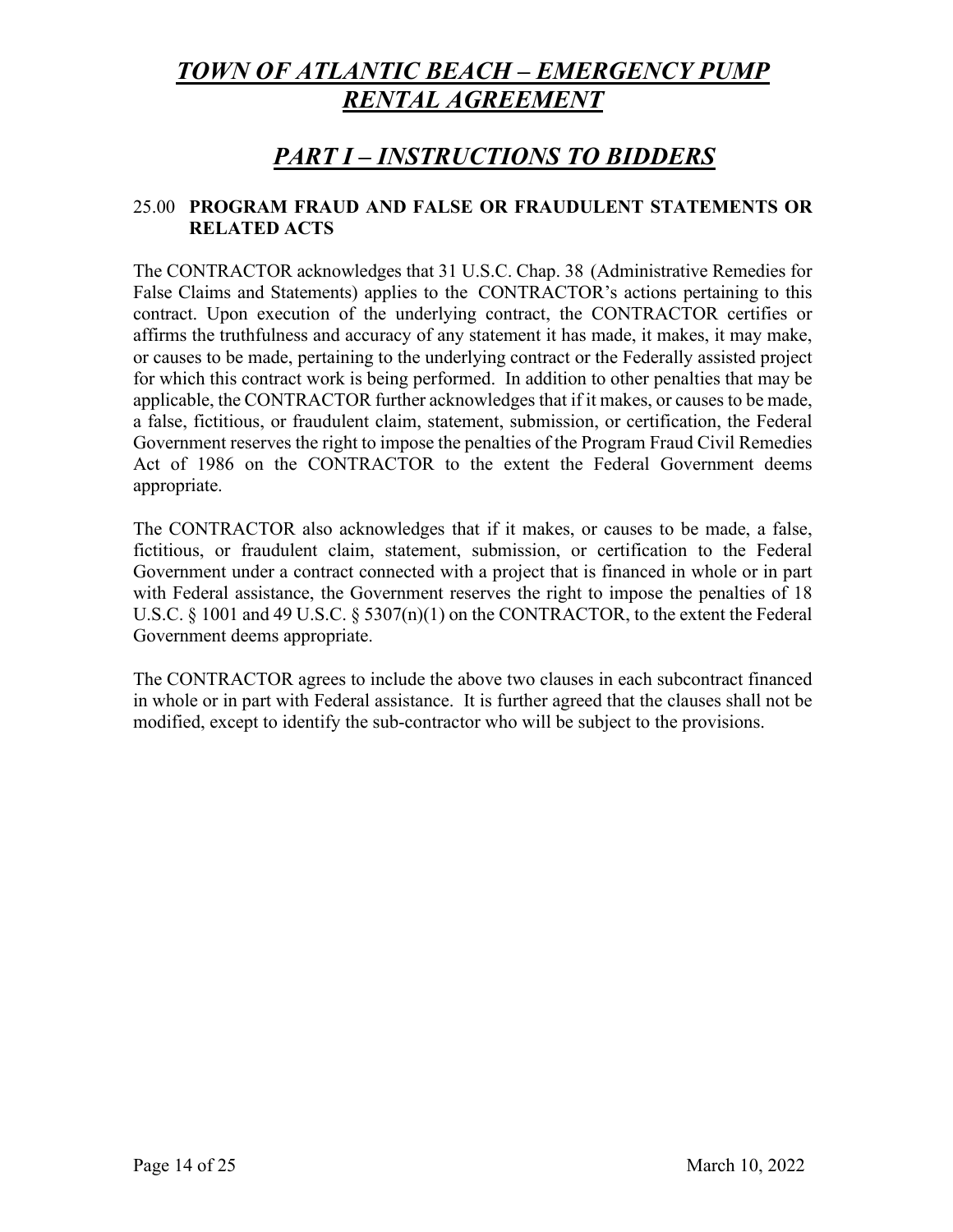### *PART I – INSTRUCTIONS TO BIDDERS*

### 25.00 **PROGRAM FRAUD AND FALSE OR FRAUDULENT STATEMENTS OR RELATED ACTS**

The CONTRACTOR acknowledges that 31 U.S.C. Chap. 38 (Administrative Remedies for False Claims and Statements) applies to the CONTRACTOR's actions pertaining to this contract. Upon execution of the underlying contract, the CONTRACTOR certifies or affirms the truthfulness and accuracy of any statement it has made, it makes, it may make, or causes to be made, pertaining to the underlying contract or the Federally assisted project for which this contract work is being performed. In addition to other penalties that may be applicable, the CONTRACTOR further acknowledges that if it makes, or causes to be made, a false, fictitious, or fraudulent claim, statement, submission, or certification, the Federal Government reserves the right to impose the penalties of the Program Fraud Civil Remedies Act of 1986 on the CONTRACTOR to the extent the Federal Government deems appropriate.

The CONTRACTOR also acknowledges that if it makes, or causes to be made, a false, fictitious, or fraudulent claim, statement, submission, or certification to the Federal Government under a contract connected with a project that is financed in whole or in part with Federal assistance, the Government reserves the right to impose the penalties of 18 U.S.C. § 1001 and 49 U.S.C. § 5307(n)(1) on the CONTRACTOR, to the extent the Federal Government deems appropriate.

The CONTRACTOR agrees to include the above two clauses in each subcontract financed in whole or in part with Federal assistance. It is further agreed that the clauses shall not be modified, except to identify the sub-contractor who will be subject to the provisions.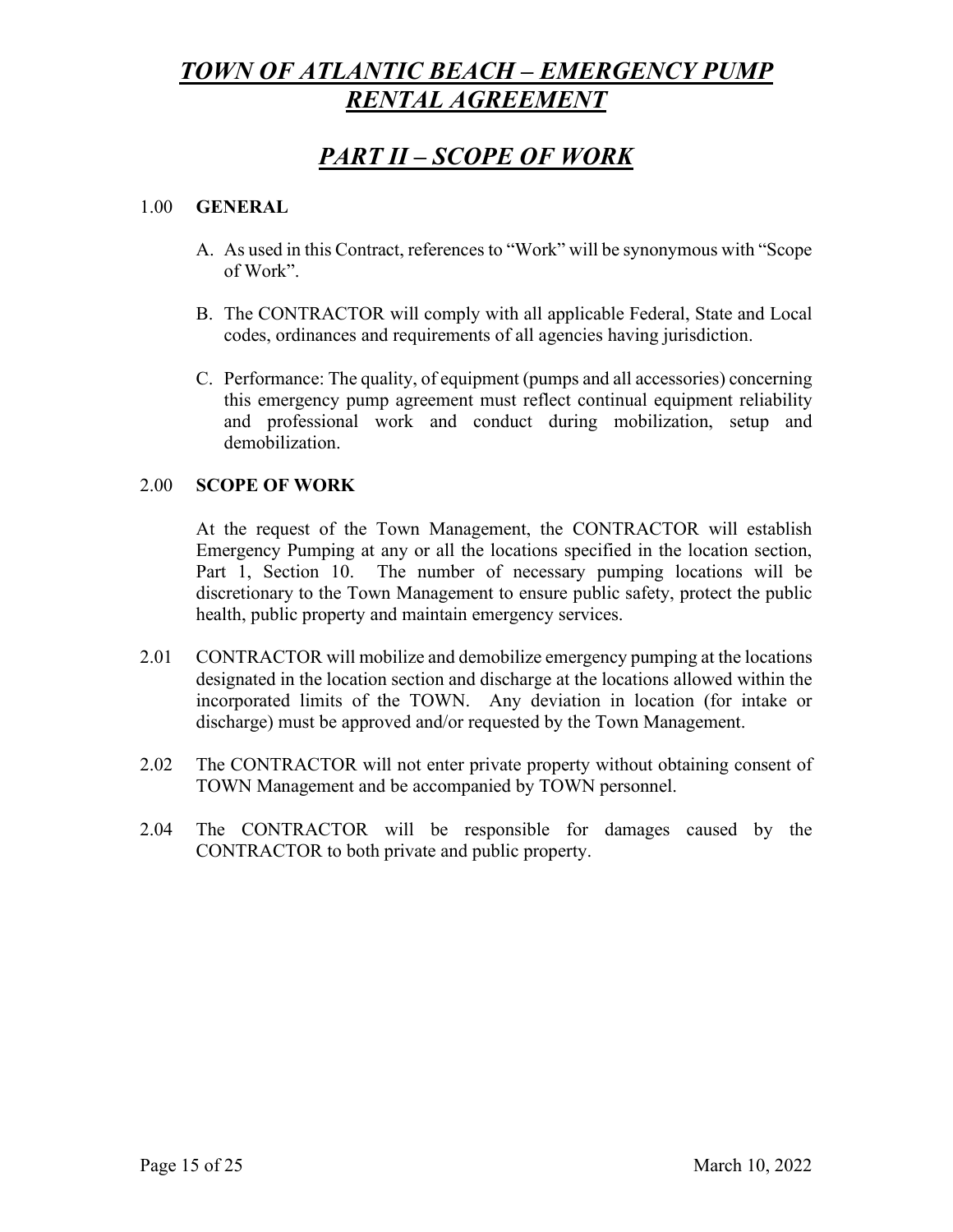# *PART II – SCOPE OF WORK*

### 1.00 **GENERAL**

- A. As used in this Contract, references to "Work" will be synonymous with "Scope of Work".
- B. The CONTRACTOR will comply with all applicable Federal, State and Local codes, ordinances and requirements of all agencies having jurisdiction.
- C. Performance: The quality, of equipment (pumps and all accessories) concerning this emergency pump agreement must reflect continual equipment reliability and professional work and conduct during mobilization, setup and demobilization.

### 2.00 **SCOPE OF WORK**

At the request of the Town Management, the CONTRACTOR will establish Emergency Pumping at any or all the locations specified in the location section, Part 1, Section 10. The number of necessary pumping locations will be discretionary to the Town Management to ensure public safety, protect the public health, public property and maintain emergency services.

- 2.01 CONTRACTOR will mobilize and demobilize emergency pumping at the locations designated in the location section and discharge at the locations allowed within the incorporated limits of the TOWN. Any deviation in location (for intake or discharge) must be approved and/or requested by the Town Management.
- 2.02 The CONTRACTOR will not enter private property without obtaining consent of TOWN Management and be accompanied by TOWN personnel.
- 2.04 The CONTRACTOR will be responsible for damages caused by the CONTRACTOR to both private and public property.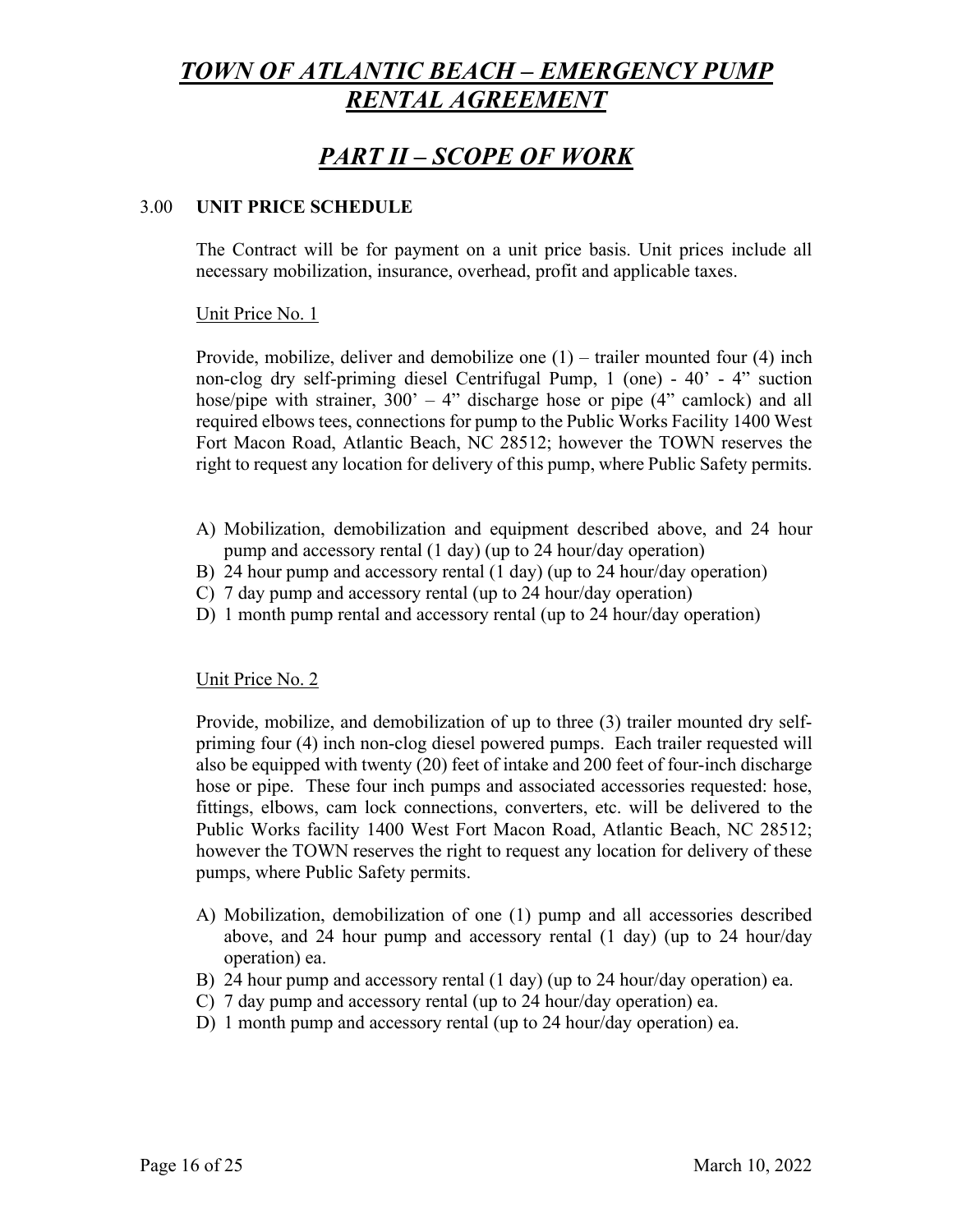# *PART II – SCOPE OF WORK*

### 3.00 **UNIT PRICE SCHEDULE**

The Contract will be for payment on a unit price basis. Unit prices include all necessary mobilization, insurance, overhead, profit and applicable taxes.

#### Unit Price No. 1

Provide, mobilize, deliver and demobilize one  $(1)$  – trailer mounted four  $(4)$  inch non-clog dry self-priming diesel Centrifugal Pump, 1 (one) - 40' - 4" suction hose/pipe with strainer,  $300' - 4$ " discharge hose or pipe (4" camlock) and all required elbows tees, connections for pump to the Public Works Facility 1400 West Fort Macon Road, Atlantic Beach, NC 28512; however the TOWN reserves the right to request any location for delivery of this pump, where Public Safety permits.

- A) Mobilization, demobilization and equipment described above, and 24 hour pump and accessory rental (1 day) (up to 24 hour/day operation)
- B) 24 hour pump and accessory rental (1 day) (up to 24 hour/day operation)
- C) 7 day pump and accessory rental (up to 24 hour/day operation)
- D) 1 month pump rental and accessory rental (up to 24 hour/day operation)

#### Unit Price No. 2

Provide, mobilize, and demobilization of up to three (3) trailer mounted dry selfpriming four (4) inch non-clog diesel powered pumps. Each trailer requested will also be equipped with twenty (20) feet of intake and 200 feet of four-inch discharge hose or pipe. These four inch pumps and associated accessories requested: hose, fittings, elbows, cam lock connections, converters, etc. will be delivered to the Public Works facility 1400 West Fort Macon Road, Atlantic Beach, NC 28512; however the TOWN reserves the right to request any location for delivery of these pumps, where Public Safety permits.

- A) Mobilization, demobilization of one (1) pump and all accessories described above, and 24 hour pump and accessory rental (1 day) (up to 24 hour/day operation) ea.
- B) 24 hour pump and accessory rental (1 day) (up to 24 hour/day operation) ea.
- C) 7 day pump and accessory rental (up to 24 hour/day operation) ea.
- D) 1 month pump and accessory rental (up to 24 hour/day operation) ea.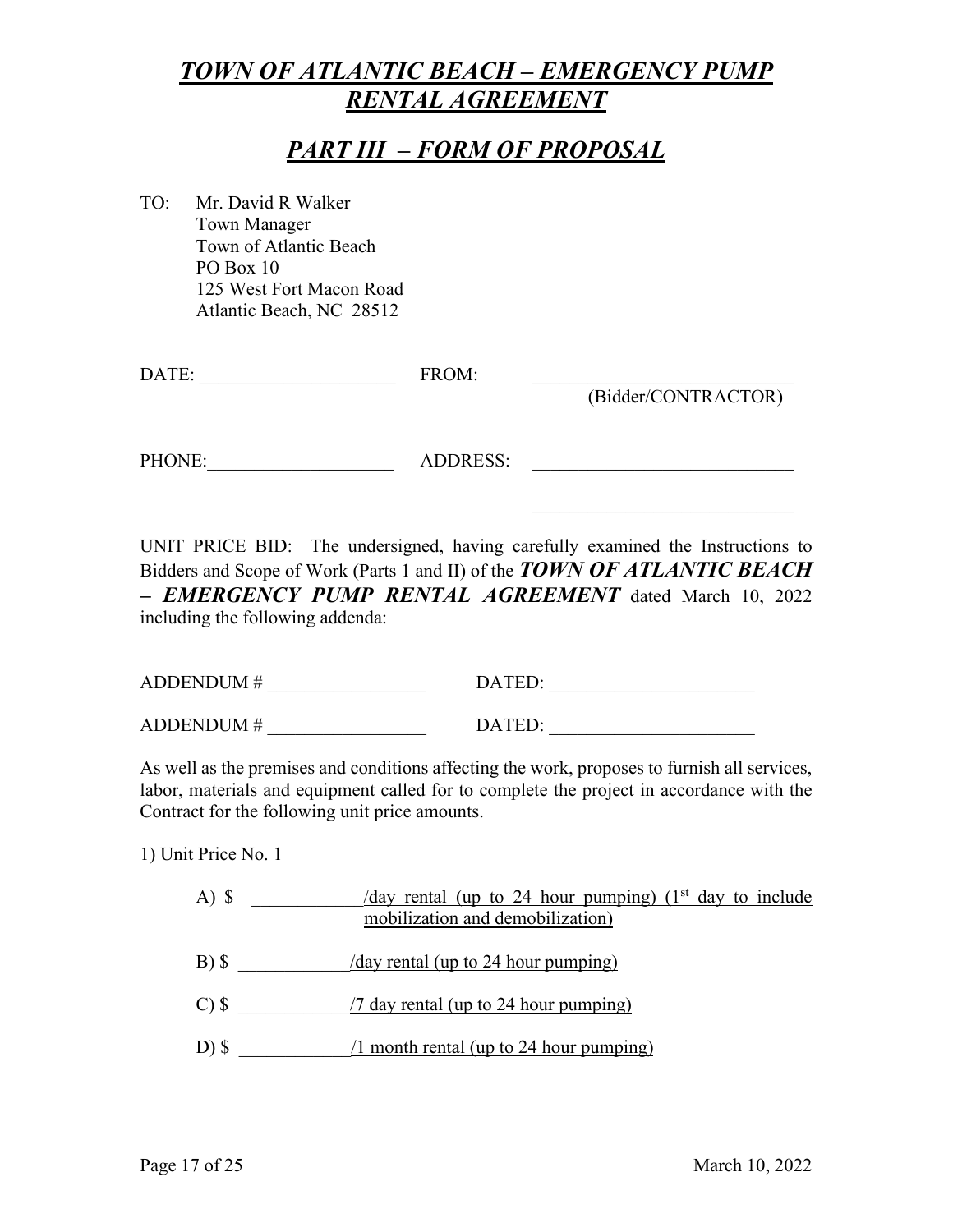### *PART III – FORM OF PROPOSAL*

TO: Mr. David R Walker Town Manager Town of Atlantic Beach PO Box 10 125 West Fort Macon Road Atlantic Beach, NC 28512

| DATE:  | FROM:           | (Bidder/CONTRACTOR) |  |  |
|--------|-----------------|---------------------|--|--|
| PHONE: | <b>ADDRESS:</b> |                     |  |  |

UNIT PRICE BID: The undersigned, having carefully examined the Instructions to Bidders and Scope of Work (Parts 1 and II) of the *TOWN OF ATLANTIC BEACH – EMERGENCY PUMP RENTAL AGREEMENT* dated March 10, 2022 including the following addenda:

 $\mathcal{L}_\mathcal{L}$  , which is a set of the set of the set of the set of the set of the set of the set of the set of the set of the set of the set of the set of the set of the set of the set of the set of the set of the set of

ADDENDUM # DATED: ADDENDUM # DATED:

As well as the premises and conditions affecting the work, proposes to furnish all services, labor, materials and equipment called for to complete the project in accordance with the Contract for the following unit price amounts.

1) Unit Price No. 1

A)  $\frac{1}{2}$   $\frac{1}{2}$   $\frac{1}{2}$   $\frac{1}{2}$   $\frac{1}{2}$   $\frac{1}{2}$   $\frac{1}{2}$   $\frac{1}{2}$   $\frac{1}{2}$   $\frac{1}{2}$   $\frac{1}{2}$   $\frac{1}{2}$   $\frac{1}{2}$   $\frac{1}{2}$   $\frac{1}{2}$   $\frac{1}{2}$   $\frac{1}{2}$   $\frac{1}{2}$   $\frac{1}{2}$   $\frac{1}{2}$   $\frac{1}{2}$   $\frac{1}{2}$ mobilization and demobilization) B)  $\$  /day rental (up to 24 hour pumping) C)  $\frac{\sqrt{7} \text{ day retal (up to 24 hour pumping)}}{}$ D)  $\sqrt{1}$  month rental (up to 24 hour pumping)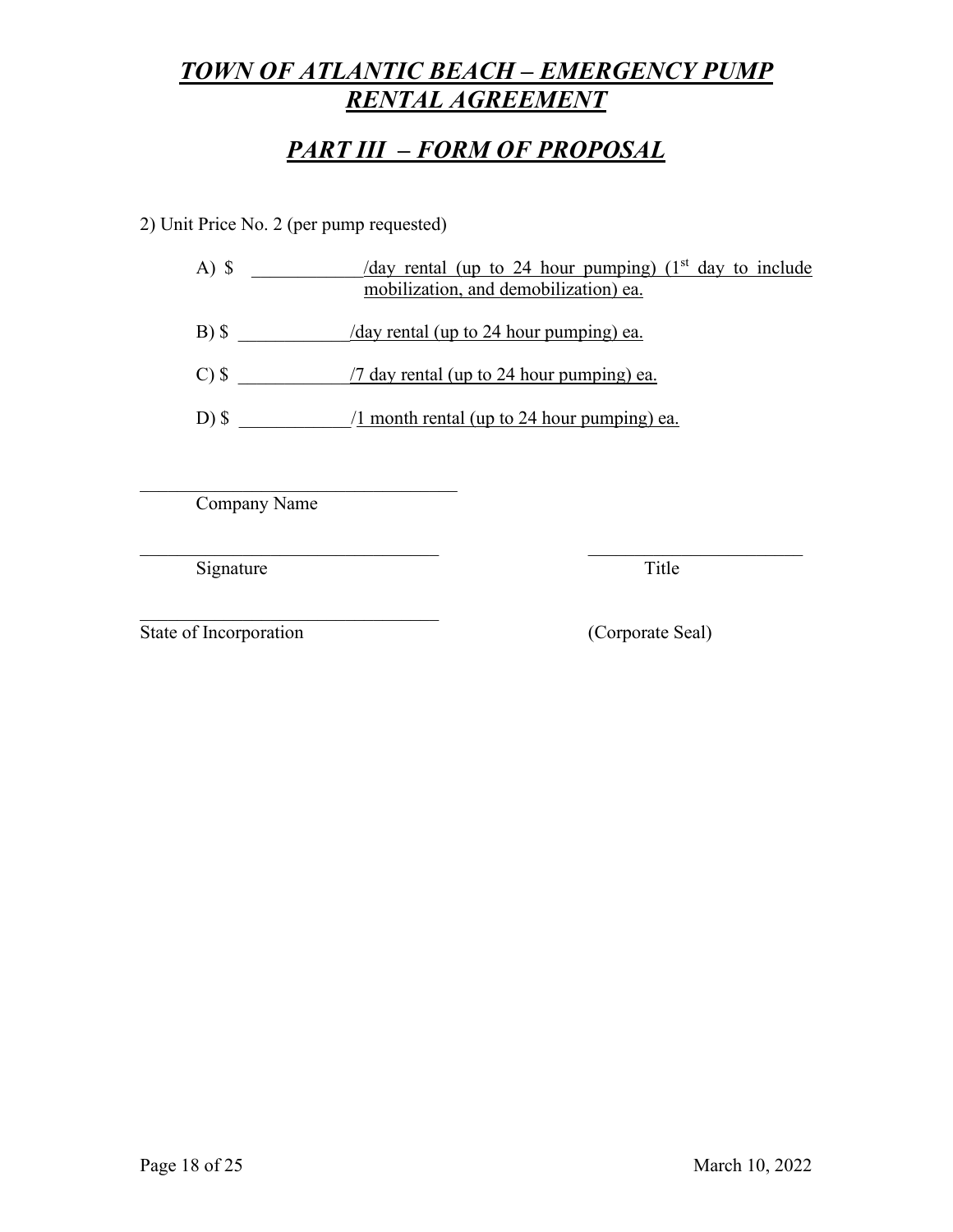# *PART III – FORM OF PROPOSAL*

2) Unit Price No. 2 (per pump requested)

- A)  $\frac{1}{2}$   $\frac{1}{2}$   $\frac{1}{2}$   $\frac{1}{2}$   $\frac{1}{2}$   $\frac{1}{2}$   $\frac{1}{2}$   $\frac{1}{2}$   $\frac{1}{2}$   $\frac{1}{2}$   $\frac{1}{2}$   $\frac{1}{2}$   $\frac{1}{2}$   $\frac{1}{2}$   $\frac{1}{2}$   $\frac{1}{2}$   $\frac{1}{2}$   $\frac{1}{2}$   $\frac{1}{2}$   $\frac{1}{2}$   $\frac{1}{2}$   $\frac{1}{2}$ mobilization, and demobilization) ea.
- B) \$  $\frac{day \text{�} (up \text{ to } 24 \text{ hour pumping}) \text{e}$ .
- C)  $\frac{1}{7}$  day rental (up to 24 hour pumping) ea.
- D)  $\frac{\sinh(\theta)}{\sinh(\theta)}$  = 1 month rental (up to 24 hour pumping) ea.

Company Name

 $\_$  , and the set of the set of the set of the set of the set of the set of the set of the set of the set of the set of the set of the set of the set of the set of the set of the set of the set of the set of the set of th Signature Title Title

\_\_\_\_\_\_\_\_\_\_\_\_\_\_\_\_\_\_\_\_\_\_\_\_\_\_\_\_\_\_\_\_ State of Incorporation (Corporate Seal)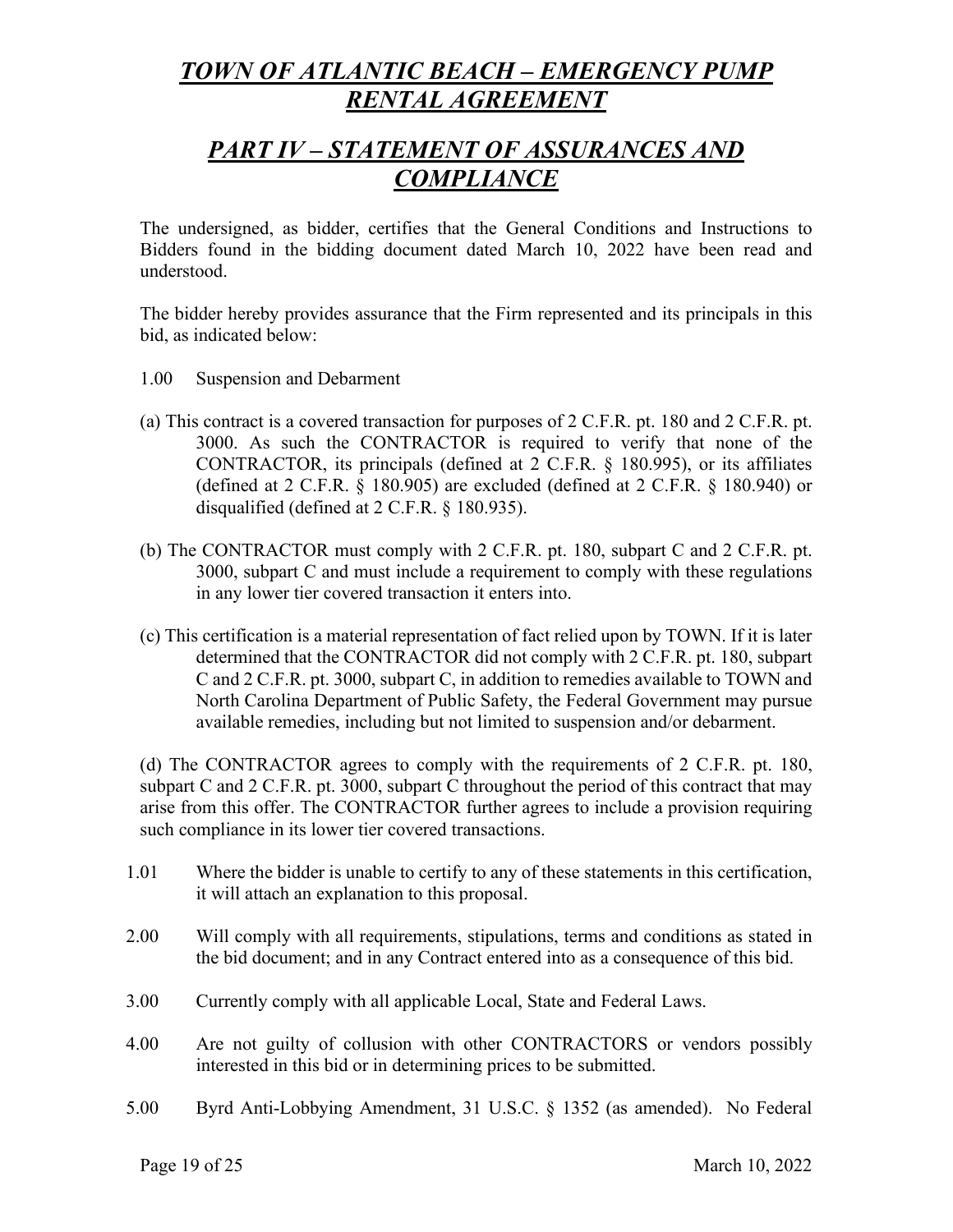## *PART IV – STATEMENT OF ASSURANCES AND COMPLIANCE*

The undersigned, as bidder, certifies that the General Conditions and Instructions to Bidders found in the bidding document dated March 10, 2022 have been read and understood.

The bidder hereby provides assurance that the Firm represented and its principals in this bid, as indicated below:

- 1.00 Suspension and Debarment
- (a) This contract is a covered transaction for purposes of 2 C.F.R. pt. 180 and 2 C.F.R. pt. 3000. As such the CONTRACTOR is required to verify that none of the CONTRACTOR, its principals (defined at 2 C.F.R. § 180.995), or its affiliates (defined at 2 C.F.R. § 180.905) are excluded (defined at 2 C.F.R. § 180.940) or disqualified (defined at 2 C.F.R. § 180.935).
- (b) The CONTRACTOR must comply with 2 C.F.R. pt. 180, subpart C and 2 C.F.R. pt. 3000, subpart C and must include a requirement to comply with these regulations in any lower tier covered transaction it enters into.
- (c) This certification is a material representation of fact relied upon by TOWN. If it is later determined that the CONTRACTOR did not comply with 2 C.F.R. pt. 180, subpart C and 2 C.F.R. pt. 3000, subpart C, in addition to remedies available to TOWN and North Carolina Department of Public Safety, the Federal Government may pursue available remedies, including but not limited to suspension and/or debarment.

(d) The CONTRACTOR agrees to comply with the requirements of 2 C.F.R. pt. 180, subpart C and 2 C.F.R. pt. 3000, subpart C throughout the period of this contract that may arise from this offer. The CONTRACTOR further agrees to include a provision requiring such compliance in its lower tier covered transactions.

- 1.01 Where the bidder is unable to certify to any of these statements in this certification, it will attach an explanation to this proposal.
- 2.00 Will comply with all requirements, stipulations, terms and conditions as stated in the bid document; and in any Contract entered into as a consequence of this bid.
- 3.00 Currently comply with all applicable Local, State and Federal Laws.
- 4.00 Are not guilty of collusion with other CONTRACTORS or vendors possibly interested in this bid or in determining prices to be submitted.
- 5.00 Byrd Anti-Lobbying Amendment, 31 U.S.C. § 1352 (as amended). No Federal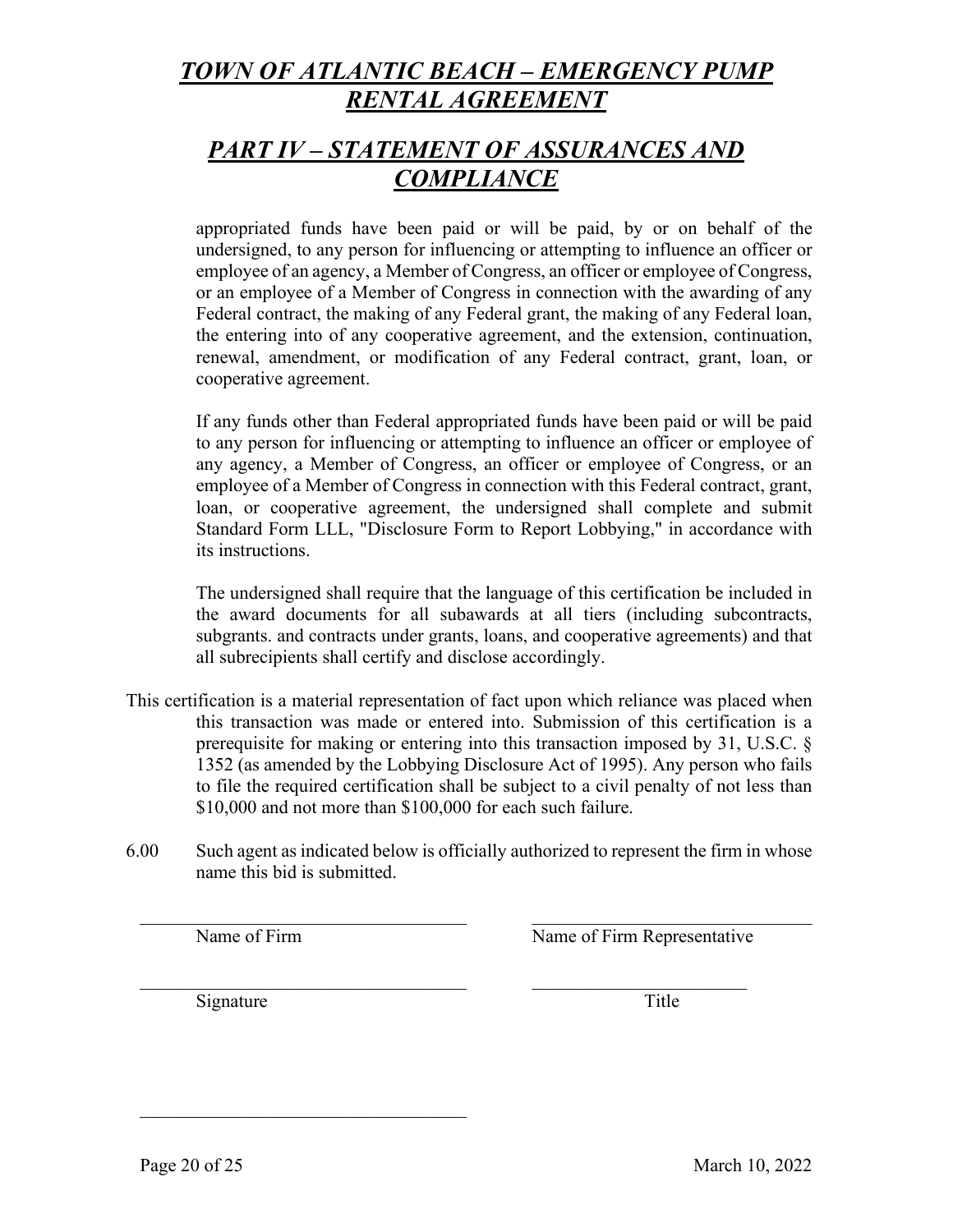## *PART IV – STATEMENT OF ASSURANCES AND COMPLIANCE*

appropriated funds have been paid or will be paid, by or on behalf of the undersigned, to any person for influencing or attempting to influence an officer or employee of an agency, a Member of Congress, an officer or employee of Congress, or an employee of a Member of Congress in connection with the awarding of any Federal contract, the making of any Federal grant, the making of any Federal loan, the entering into of any cooperative agreement, and the extension, continuation, renewal, amendment, or modification of any Federal contract, grant, loan, or cooperative agreement.

If any funds other than Federal appropriated funds have been paid or will be paid to any person for influencing or attempting to influence an officer or employee of any agency, a Member of Congress, an officer or employee of Congress, or an employee of a Member of Congress in connection with this Federal contract, grant, loan, or cooperative agreement, the undersigned shall complete and submit Standard Form LLL, "Disclosure Form to Report Lobbying," in accordance with its instructions.

The undersigned shall require that the language of this certification be included in the award documents for all subawards at all tiers (including subcontracts, subgrants. and contracts under grants, loans, and cooperative agreements) and that all subrecipients shall certify and disclose accordingly.

- This certification is a material representation of fact upon which reliance was placed when this transaction was made or entered into. Submission of this certification is a prerequisite for making or entering into this transaction imposed by 31, U.S.C. § 1352 (as amended by the Lobbying Disclosure Act of 1995). Any person who fails to file the required certification shall be subject to a civil penalty of not less than \$10,000 and not more than \$100,000 for each such failure.
- 6.00 Such agent as indicated below is officially authorized to represent the firm in whose name this bid is submitted.

 $\_$  , and the contribution of the contribution of  $\_$  . The contribution of the contribution of  $\_$ 

 $\overline{\phantom{a}}$  , and the set of the set of the set of the set of the set of the set of the set of the set of the set of the set of the set of the set of the set of the set of the set of the set of the set of the set of the s

Name of Firm Name of Firm Representative

Signature Title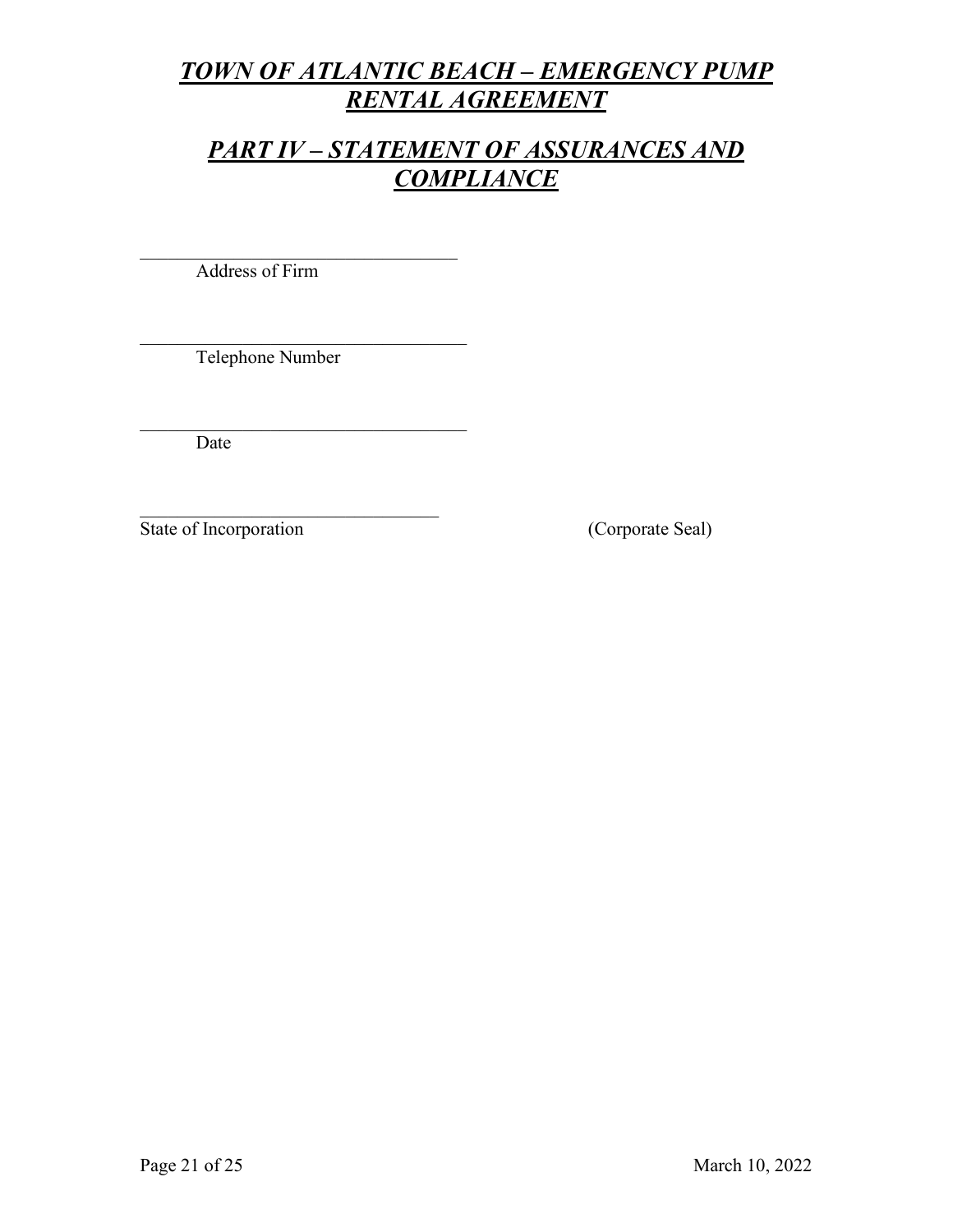# *PART IV – STATEMENT OF ASSURANCES AND COMPLIANCE*

Address of Firm

 $\overline{\phantom{a}}$  , and the set of the set of the set of the set of the set of the set of the set of the set of the set of the set of the set of the set of the set of the set of the set of the set of the set of the set of the s

 $\overline{\phantom{a}}$  , and the set of the set of the set of the set of the set of the set of the set of the set of the set of the set of the set of the set of the set of the set of the set of the set of the set of the set of the s

\_\_\_\_\_\_\_\_\_\_\_\_\_\_\_\_\_\_\_\_\_\_\_\_\_\_\_\_\_\_\_\_

 $\overline{\phantom{a}}$  , and the set of the set of the set of the set of the set of the set of the set of the set of the set of the set of the set of the set of the set of the set of the set of the set of the set of the set of the s Telephone Number

Date

State of Incorporation (Corporate Seal)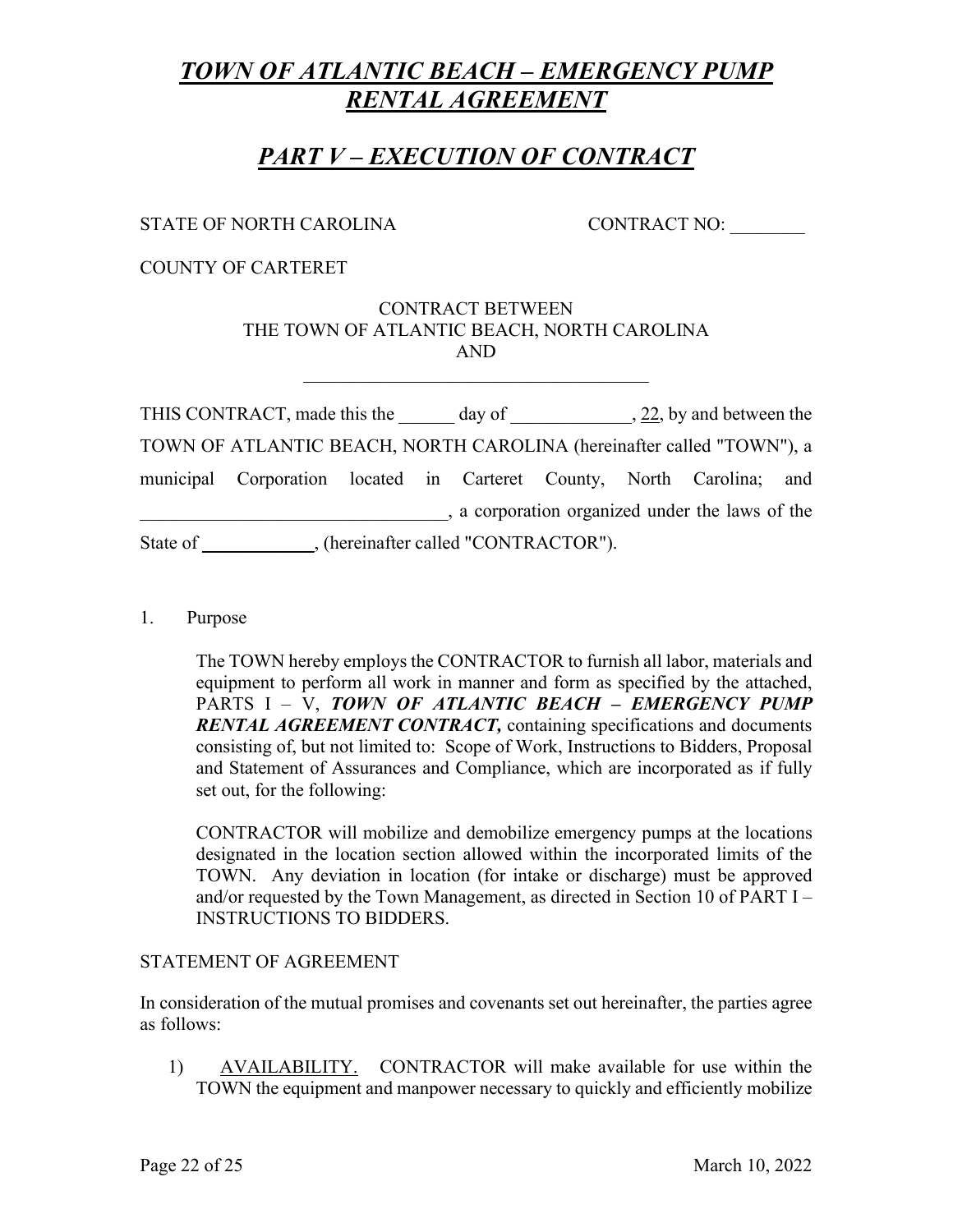### *PART V – EXECUTION OF CONTRACT*

#### STATE OF NORTH CAROLINA CONTRACT NO:

#### COUNTY OF CARTERET

### CONTRACT BETWEEN THE TOWN OF ATLANTIC BEACH, NORTH CAROLINA AND

\_\_\_\_\_\_\_\_\_\_\_\_\_\_\_\_\_\_\_\_\_\_\_\_\_\_\_\_\_\_\_\_\_\_\_\_\_

|                                                                       | THIS CONTRACT, made this the<br>day of                                |  |  |                                      | , 22, by and between the |  |                                                 |  |
|-----------------------------------------------------------------------|-----------------------------------------------------------------------|--|--|--------------------------------------|--------------------------|--|-------------------------------------------------|--|
| TOWN OF ATLANTIC BEACH, NORTH CAROLINA (hereinafter called "TOWN"), a |                                                                       |  |  |                                      |                          |  |                                                 |  |
|                                                                       | municipal Corporation located in Carteret County, North Carolina; and |  |  |                                      |                          |  |                                                 |  |
|                                                                       |                                                                       |  |  |                                      |                          |  | , a corporation organized under the laws of the |  |
| State of                                                              |                                                                       |  |  | , (hereinafter called "CONTRACTOR"). |                          |  |                                                 |  |

#### 1. Purpose

The TOWN hereby employs the CONTRACTOR to furnish all labor, materials and equipment to perform all work in manner and form as specified by the attached, PARTS I – V, *TOWN OF ATLANTIC BEACH – EMERGENCY PUMP RENTAL AGREEMENT CONTRACT,* containing specifications and documents consisting of, but not limited to: Scope of Work, Instructions to Bidders, Proposal and Statement of Assurances and Compliance, which are incorporated as if fully set out, for the following:

CONTRACTOR will mobilize and demobilize emergency pumps at the locations designated in the location section allowed within the incorporated limits of the TOWN. Any deviation in location (for intake or discharge) must be approved and/or requested by the Town Management, as directed in Section 10 of PART I – INSTRUCTIONS TO BIDDERS.

#### STATEMENT OF AGREEMENT

In consideration of the mutual promises and covenants set out hereinafter, the parties agree as follows:

1) AVAILABILITY. CONTRACTOR will make available for use within the TOWN the equipment and manpower necessary to quickly and efficiently mobilize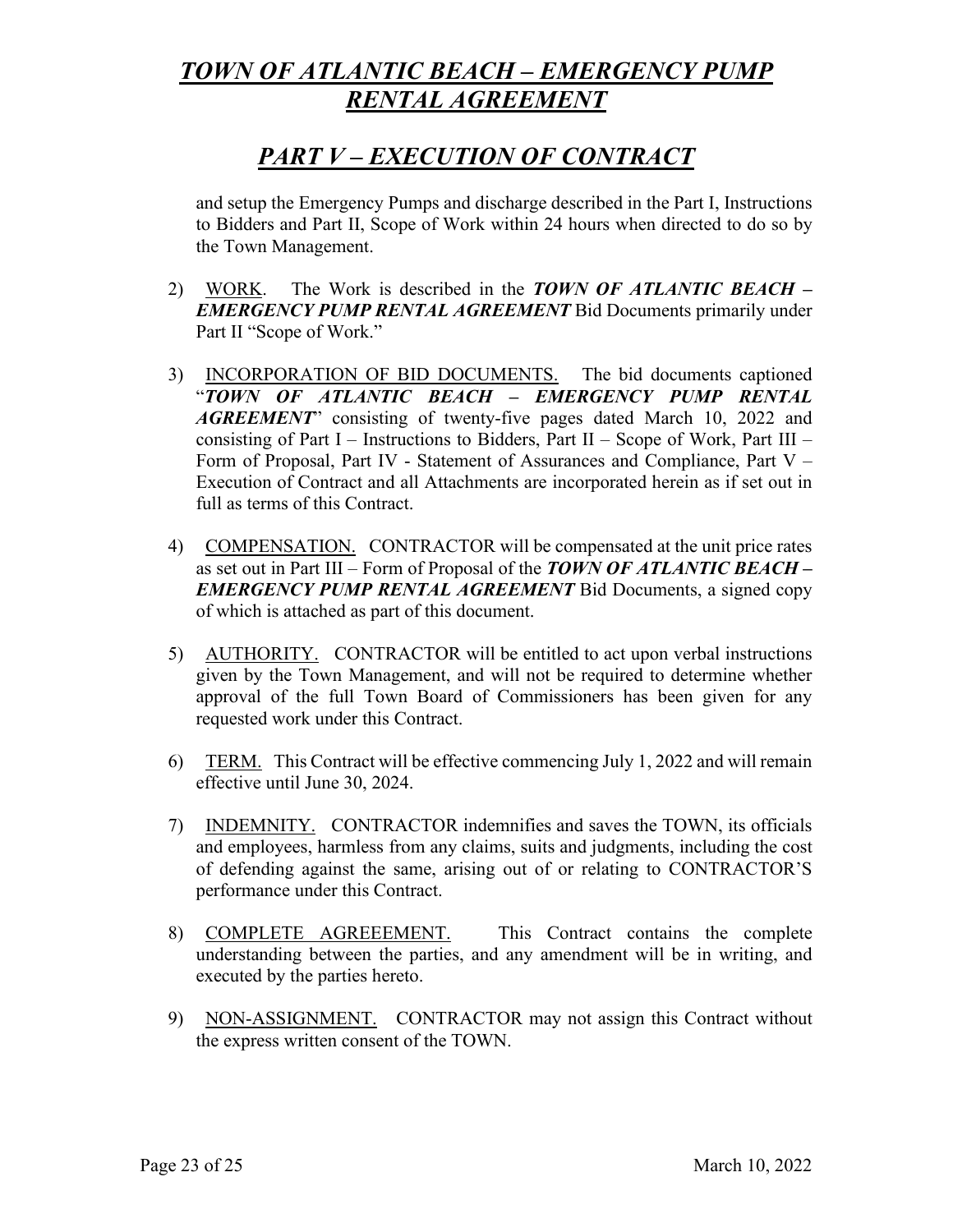### *PART V – EXECUTION OF CONTRACT*

and setup the Emergency Pumps and discharge described in the Part I, Instructions to Bidders and Part II, Scope of Work within 24 hours when directed to do so by the Town Management.

- 2) WORK. The Work is described in the *TOWN OF ATLANTIC BEACH – EMERGENCY PUMP RENTAL AGREEMENT* Bid Documents primarily under Part II "Scope of Work."
- 3) INCORPORATION OF BID DOCUMENTS. The bid documents captioned "*TOWN OF ATLANTIC BEACH – EMERGENCY PUMP RENTAL AGREEMENT*" consisting of twenty-five pages dated March 10, 2022 and consisting of Part I – Instructions to Bidders, Part II – Scope of Work, Part III – Form of Proposal, Part IV - Statement of Assurances and Compliance, Part V – Execution of Contract and all Attachments are incorporated herein as if set out in full as terms of this Contract.
- 4) COMPENSATION. CONTRACTOR will be compensated at the unit price rates as set out in Part III – Form of Proposal of the *TOWN OF ATLANTIC BEACH – EMERGENCY PUMP RENTAL AGREEMENT* Bid Documents, a signed copy of which is attached as part of this document.
- 5) AUTHORITY. CONTRACTOR will be entitled to act upon verbal instructions given by the Town Management, and will not be required to determine whether approval of the full Town Board of Commissioners has been given for any requested work under this Contract.
- 6) TERM. This Contract will be effective commencing July 1, 2022 and will remain effective until June 30, 2024.
- 7) INDEMNITY. CONTRACTOR indemnifies and saves the TOWN, its officials and employees, harmless from any claims, suits and judgments, including the cost of defending against the same, arising out of or relating to CONTRACTOR'S performance under this Contract.
- 8) COMPLETE AGREEEMENT. This Contract contains the complete understanding between the parties, and any amendment will be in writing, and executed by the parties hereto.
- 9) NON-ASSIGNMENT. CONTRACTOR may not assign this Contract without the express written consent of the TOWN.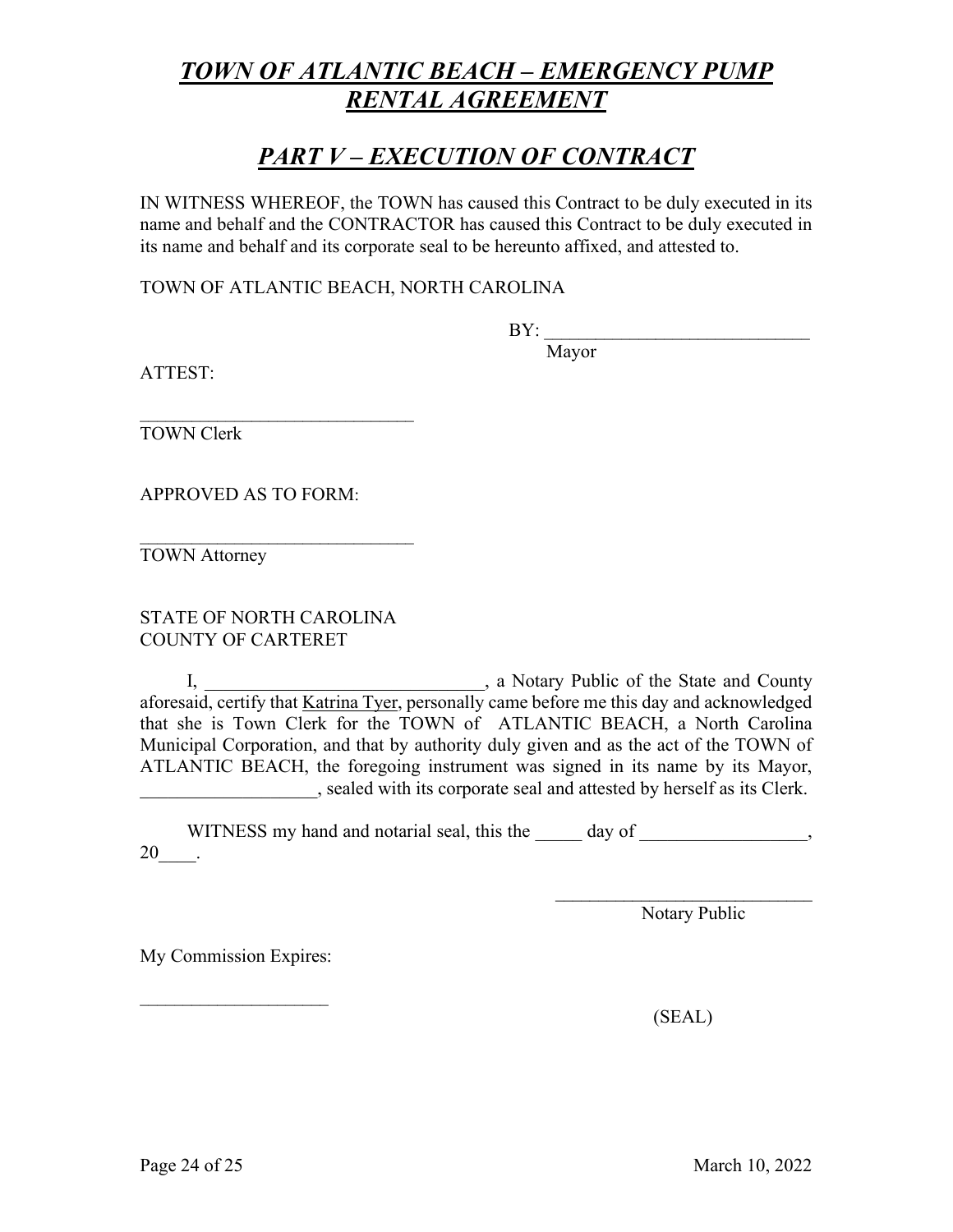### *PART V – EXECUTION OF CONTRACT*

IN WITNESS WHEREOF, the TOWN has caused this Contract to be duly executed in its name and behalf and the CONTRACTOR has caused this Contract to be duly executed in its name and behalf and its corporate seal to be hereunto affixed, and attested to.

TOWN OF ATLANTIC BEACH, NORTH CAROLINA

 $\text{BY:}\qquad \qquad$ 

Mayor

ATTEST:

\_\_\_\_\_\_\_\_\_\_\_\_\_\_\_\_\_\_\_\_\_\_\_\_\_\_\_\_\_\_\_\_ TOWN Clerk

APPROVED AS TO FORM:

 $\overline{\phantom{a}}$  , which is a set of the set of the set of the set of the set of the set of the set of the set of the set of the set of the set of the set of the set of the set of the set of the set of the set of the set of th TOWN Attorney

STATE OF NORTH CAROLINA COUNTY OF CARTERET

I, \_\_\_\_\_\_\_\_\_\_\_\_\_\_\_\_\_\_\_\_\_\_\_\_\_\_\_\_, a Notary Public of the State and County aforesaid, certify that Katrina Tyer, personally came before me this day and acknowledged that she is Town Clerk for the TOWN of ATLANTIC BEACH, a North Carolina Municipal Corporation, and that by authority duly given and as the act of the TOWN of ATLANTIC BEACH, the foregoing instrument was signed in its name by its Mayor, \_\_\_\_\_\_\_\_\_\_\_\_\_\_\_\_\_\_\_, sealed with its corporate seal and attested by herself as its Clerk.

WITNESS my hand and notarial seal, this the day of the state of  $\sim$  $20$  .

> $\overline{\phantom{a}}$  , where  $\overline{\phantom{a}}$  , where  $\overline{\phantom{a}}$  , where  $\overline{\phantom{a}}$  , where  $\overline{\phantom{a}}$ Notary Public

My Commission Expires:

 $\overline{\phantom{a}}$  , where  $\overline{\phantom{a}}$  , where  $\overline{\phantom{a}}$  , where  $\overline{\phantom{a}}$ 

(SEAL)